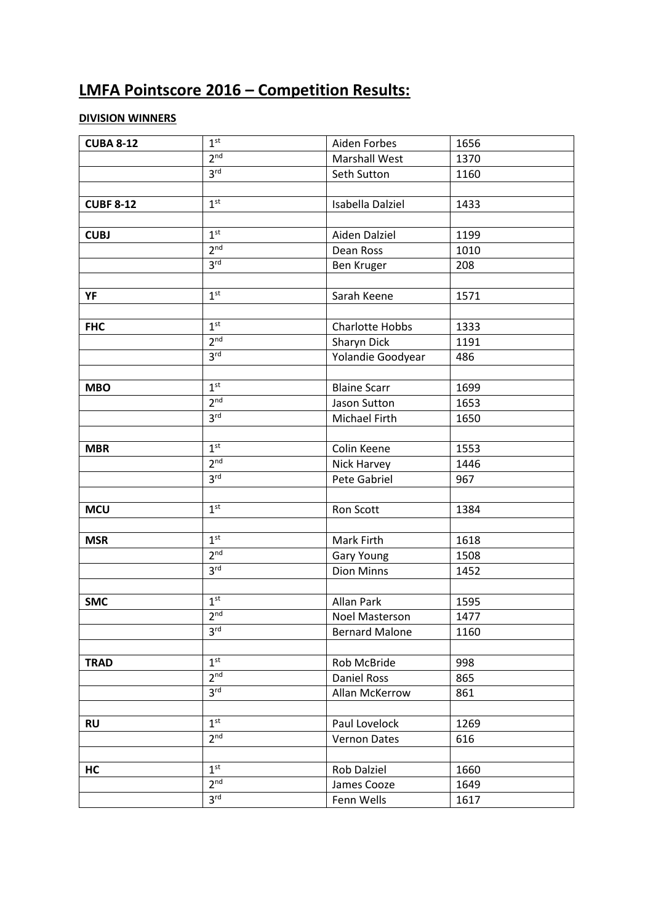## **LMFA Pointscore 2016 – Competition Results:**

### **DIVISION WINNERS**

| <b>CUBA 8-12</b> | 1 <sup>st</sup> | Aiden Forbes           | 1656 |  |
|------------------|-----------------|------------------------|------|--|
|                  | 2 <sup>nd</sup> | <b>Marshall West</b>   | 1370 |  |
|                  | 3 <sup>rd</sup> | Seth Sutton            | 1160 |  |
|                  |                 |                        |      |  |
| <b>CUBF 8-12</b> | 1 <sup>st</sup> | Isabella Dalziel       | 1433 |  |
|                  |                 |                        |      |  |
| <b>CUBJ</b>      | 1 <sup>st</sup> | Aiden Dalziel          | 1199 |  |
|                  | 2 <sup>nd</sup> | Dean Ross              | 1010 |  |
|                  | 3 <sup>rd</sup> | Ben Kruger             | 208  |  |
|                  |                 |                        |      |  |
| YF               | 1 <sup>st</sup> | Sarah Keene            | 1571 |  |
|                  |                 |                        |      |  |
| <b>FHC</b>       | 1 <sup>st</sup> | <b>Charlotte Hobbs</b> | 1333 |  |
|                  | 2 <sup>nd</sup> | Sharyn Dick            | 1191 |  |
|                  | 3 <sup>rd</sup> | Yolandie Goodyear      | 486  |  |
|                  |                 |                        |      |  |
| <b>MBO</b>       | 1 <sup>st</sup> | <b>Blaine Scarr</b>    | 1699 |  |
|                  | 2 <sub>nd</sub> | Jason Sutton           | 1653 |  |
|                  | 3 <sup>rd</sup> | Michael Firth          | 1650 |  |
|                  |                 |                        |      |  |
| <b>MBR</b>       | 1 <sup>st</sup> | Colin Keene            | 1553 |  |
|                  | 2 <sup>nd</sup> | Nick Harvey            | 1446 |  |
|                  | 3 <sup>rd</sup> | Pete Gabriel           | 967  |  |
|                  |                 |                        |      |  |
| <b>MCU</b>       | 1 <sup>st</sup> | Ron Scott              | 1384 |  |
|                  |                 |                        |      |  |
| <b>MSR</b>       | 1 <sup>st</sup> | Mark Firth             | 1618 |  |
|                  | 2 <sup>nd</sup> | Gary Young             | 1508 |  |
|                  | 3 <sup>rd</sup> | <b>Dion Minns</b>      | 1452 |  |
|                  |                 |                        |      |  |
| <b>SMC</b>       | 1 <sup>st</sup> | <b>Allan Park</b>      | 1595 |  |
|                  | 2 <sub>nd</sub> | <b>Noel Masterson</b>  | 1477 |  |
|                  | 3 <sup>rd</sup> | <b>Bernard Malone</b>  | 1160 |  |
|                  |                 |                        |      |  |
| <b>TRAD</b>      | 1 <sup>st</sup> | Rob McBride            | 998  |  |
|                  | 2 <sup>nd</sup> | Daniel Ross            | 865  |  |
|                  | 3 <sup>rd</sup> | Allan McKerrow         | 861  |  |
|                  |                 |                        |      |  |
| <b>RU</b>        | 1 <sup>st</sup> | Paul Lovelock          | 1269 |  |
|                  | 2 <sup>nd</sup> | <b>Vernon Dates</b>    | 616  |  |
|                  |                 |                        |      |  |
| HC               | 1 <sup>st</sup> | Rob Dalziel            | 1660 |  |
|                  | 2 <sup>nd</sup> | James Cooze            | 1649 |  |
|                  | 3 <sup>rd</sup> | Fenn Wells             | 1617 |  |
|                  |                 |                        |      |  |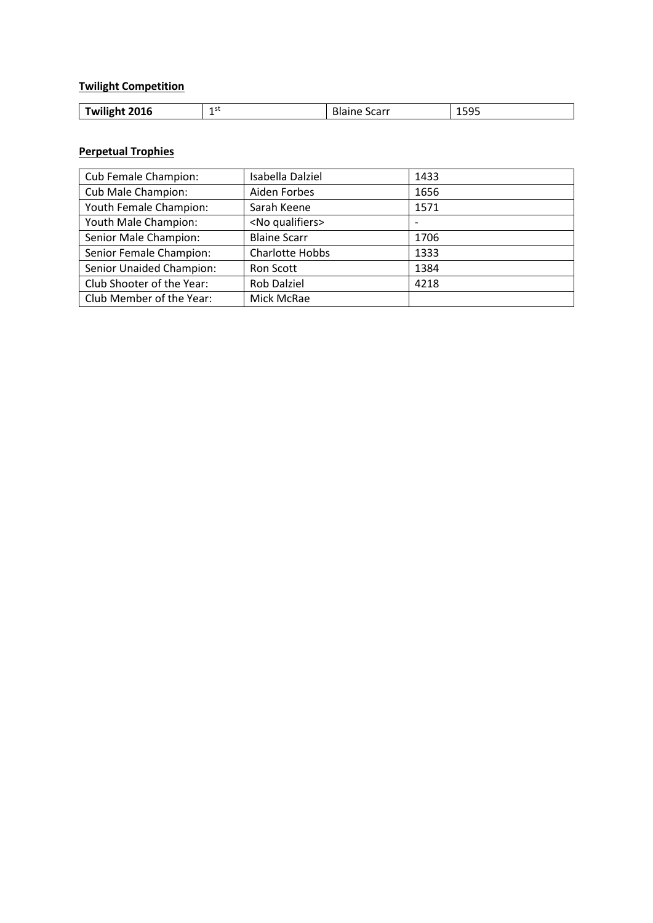### **Twilight Competition**

| 2016<br>1 SL<br>$-0$<br><br>carr<br>----<br><b>I</b> WIIIght<br><b>D</b> udil<br>۱۵٬<br>ᅩᇰᇰᇰ<br>- |
|---------------------------------------------------------------------------------------------------|
|---------------------------------------------------------------------------------------------------|

#### **Perpetual Trophies**

| Cub Female Champion:      | Isabella Dalziel        | 1433 |
|---------------------------|-------------------------|------|
| Cub Male Champion:        | Aiden Forbes            | 1656 |
| Youth Female Champion:    | Sarah Keene             | 1571 |
| Youth Male Champion:      | <no qualifiers=""></no> |      |
| Senior Male Champion:     | <b>Blaine Scarr</b>     | 1706 |
| Senior Female Champion:   | <b>Charlotte Hobbs</b>  | 1333 |
| Senior Unaided Champion:  | Ron Scott               | 1384 |
| Club Shooter of the Year: | <b>Rob Dalziel</b>      | 4218 |
| Club Member of the Year:  | Mick McRae              |      |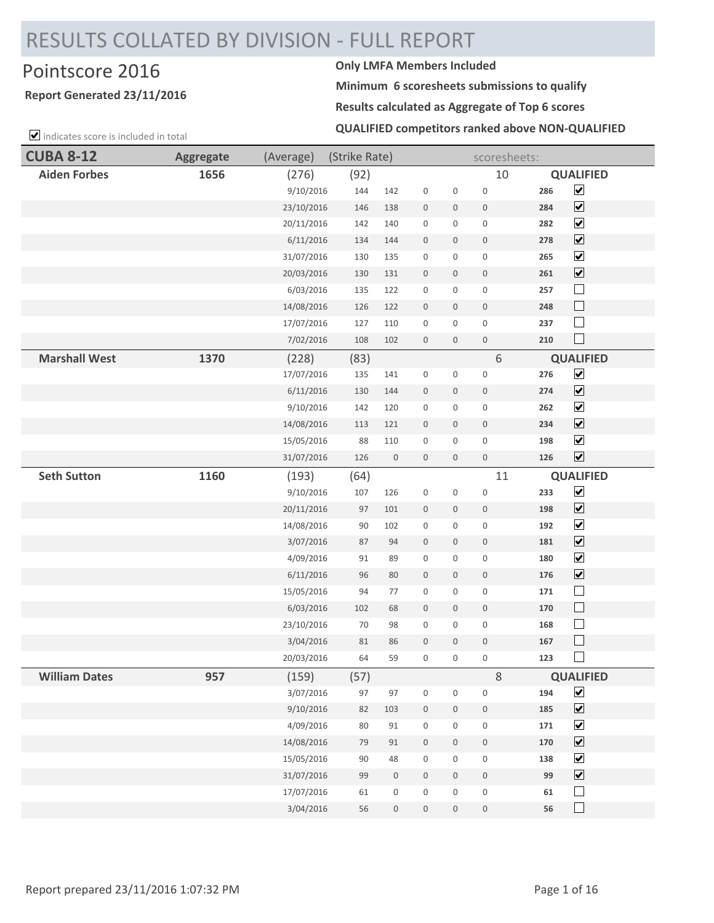# RESULTS COLLATED BY DIVISION - FULL REPORT

## Pointscore 2016 **Only LMFA Members Included**

#### **Report Generated 23/11/2016**

 $\triangledown$  indicates score is included in total

**Minimum 6 scoresheets submissions to qualify**

**Results calculated as Aggregate of Top 6 scores**

**QUALIFIED competitors ranked above NON-QUALIFIED**

| <b>CUBA 8-12</b>     | <b>Aggregate</b> | (Average)  | (Strike Rate) |                  |                     |                  | scoresheets:     |     |                              |
|----------------------|------------------|------------|---------------|------------------|---------------------|------------------|------------------|-----|------------------------------|
| <b>Aiden Forbes</b>  | 1656             | (276)      | (92)          |                  |                     |                  | 10               |     | <b>QUALIFIED</b>             |
|                      |                  | 9/10/2016  | 144           | 142              | $\boldsymbol{0}$    | $\boldsymbol{0}$ | $\mathbf 0$      | 286 | $\overline{\mathbf{v}}$      |
|                      |                  | 23/10/2016 | 146           | 138              | $\mathbf 0$         | 0                | $\boldsymbol{0}$ | 284 | $\overline{\mathbf{v}}$      |
|                      |                  | 20/11/2016 | 142           | 140              | $\boldsymbol{0}$    | 0                | $\boldsymbol{0}$ | 282 | $\overline{\mathbf{v}}$      |
|                      |                  | 6/11/2016  | 134           | 144              | $\bf 0$             | 0                | $\boldsymbol{0}$ | 278 | $\overline{\mathbf{v}}$      |
|                      |                  | 31/07/2016 | 130           | 135              | $\boldsymbol{0}$    | $\mathbf 0$      | $\boldsymbol{0}$ | 265 | $\blacktriangledown$         |
|                      |                  | 20/03/2016 | 130           | 131              | $\boldsymbol{0}$    | $\mathbf 0$      | $\boldsymbol{0}$ | 261 | $\overline{\mathbf{v}}$      |
|                      |                  | 6/03/2016  | 135           | 122              | $\boldsymbol{0}$    | 0                | $\boldsymbol{0}$ | 257 | $\Box$                       |
|                      |                  | 14/08/2016 | 126           | 122              | $\boldsymbol{0}$    | $\mathbf 0$      | $\boldsymbol{0}$ | 248 | $\Box$                       |
|                      |                  | 17/07/2016 | 127           | 110              | $\boldsymbol{0}$    | $\boldsymbol{0}$ | $\boldsymbol{0}$ | 237 | $\Box$                       |
|                      |                  | 7/02/2016  | 108           | 102              | $\boldsymbol{0}$    | $\boldsymbol{0}$ | $\boldsymbol{0}$ | 210 | $\Box$                       |
| <b>Marshall West</b> | 1370             | (228)      | (83)          |                  |                     |                  | 6                |     | <b>QUALIFIED</b>             |
|                      |                  | 17/07/2016 | 135           | 141              | $\boldsymbol{0}$    | 0                | $\boldsymbol{0}$ | 276 | $\overline{\mathbf{v}}$      |
|                      |                  | 6/11/2016  | 130           | 144              | $\boldsymbol{0}$    | $\boldsymbol{0}$ | $\boldsymbol{0}$ | 274 | $\overline{\mathbf{v}}$      |
|                      |                  | 9/10/2016  | 142           | 120              | $\boldsymbol{0}$    | $\boldsymbol{0}$ | $\mathbf 0$      | 262 | $\blacktriangledown$         |
|                      |                  | 14/08/2016 | 113           | 121              | $\boldsymbol{0}$    | $\boldsymbol{0}$ | $\boldsymbol{0}$ | 234 | $\overline{\mathbf{v}}$      |
|                      |                  | 15/05/2016 | 88            | 110              | $\boldsymbol{0}$    | 0                | $\boldsymbol{0}$ | 198 | $\blacktriangledown$         |
|                      |                  | 31/07/2016 | 126           | $\boldsymbol{0}$ | $\mathsf{O}\xspace$ | $\boldsymbol{0}$ | $\mathbb O$      | 126 | $\blacktriangledown$         |
| <b>Seth Sutton</b>   | 1160             | (193)      | (64)          |                  |                     |                  | 11               |     | <b>QUALIFIED</b>             |
|                      |                  | 9/10/2016  | 107           | 126              | $\boldsymbol{0}$    | $\boldsymbol{0}$ | $\mathbf 0$      | 233 | $\blacktriangledown$         |
|                      |                  | 20/11/2016 | 97            | 101              | $\boldsymbol{0}$    | $\mathbf 0$      | $\boldsymbol{0}$ | 198 | $\boxed{\blacktriangledown}$ |
|                      |                  | 14/08/2016 | 90            | 102              | $\boldsymbol{0}$    | 0                | $\boldsymbol{0}$ | 192 | $\overline{\mathbf{v}}$      |
|                      |                  | 3/07/2016  | 87            | 94               | $\boldsymbol{0}$    | $\mathbf 0$      | $\boldsymbol{0}$ | 181 | $\blacktriangledown$         |
|                      |                  | 4/09/2016  | 91            | 89               | $\boldsymbol{0}$    | 0                | $\boldsymbol{0}$ | 180 | $\overline{\mathbf{v}}$      |
|                      |                  | 6/11/2016  | 96            | 80               | $\bf 0$             | $\boldsymbol{0}$ | $\mathbb O$      | 176 | $\blacktriangledown$         |
|                      |                  | 15/05/2016 | 94            | 77               | $\boldsymbol{0}$    | 0                | $\boldsymbol{0}$ | 171 | $\Box$                       |
|                      |                  | 6/03/2016  | 102           | 68               | $\boldsymbol{0}$    | $\mathbf 0$      | $\boldsymbol{0}$ | 170 | $\Box$                       |
|                      |                  | 23/10/2016 | 70            | 98               | $\boldsymbol{0}$    | 0                | $\boldsymbol{0}$ | 168 | $\Box$                       |
|                      |                  | 3/04/2016  | 81            | 86               | $\boldsymbol{0}$    | 0                | $\,0\,$          | 167 | $\Box$                       |
|                      |                  | 20/03/2016 | 64            | 59               | $\boldsymbol{0}$    | 0                | $\boldsymbol{0}$ | 123 | $\Box$                       |
| <b>William Dates</b> | 957              | (159)      | (57)          |                  |                     |                  | 8                |     | <b>QUALIFIED</b>             |
|                      |                  | 3/07/2016  | 97            | 97               | $\boldsymbol{0}$    | $\boldsymbol{0}$ | $\boldsymbol{0}$ | 194 | $\blacktriangledown$         |
|                      |                  | 9/10/2016  | 82            | 103              | $\boldsymbol{0}$    | $\boldsymbol{0}$ | $\boldsymbol{0}$ | 185 | $\blacktriangledown$         |
|                      |                  | 4/09/2016  | 80            | 91               | $\boldsymbol{0}$    | 0                | $\boldsymbol{0}$ | 171 | $\blacktriangledown$         |
|                      |                  | 14/08/2016 | 79            | 91               | $\,0\,$             | $\mathbf 0$      | $\mathsf{O}$     | 170 | $\blacktriangledown$         |
|                      |                  | 15/05/2016 | $90\,$        | 48               | $\boldsymbol{0}$    | 0                | $\boldsymbol{0}$ | 138 | $\overline{\mathbf{v}}$      |
|                      |                  | 31/07/2016 | 99            | $\,0\,$          | $\boldsymbol{0}$    | $\boldsymbol{0}$ | $\,0\,$          | 99  | $\overline{\mathbf{v}}$      |
|                      |                  | 17/07/2016 | 61            | $\boldsymbol{0}$ | $\boldsymbol{0}$    | 0                | $\,0\,$          | 61  | $\Box$                       |
|                      |                  | 3/04/2016  | 56            | $\boldsymbol{0}$ | $\boldsymbol{0}$    | $\boldsymbol{0}$ | $\boldsymbol{0}$ | 56  | $\Box$                       |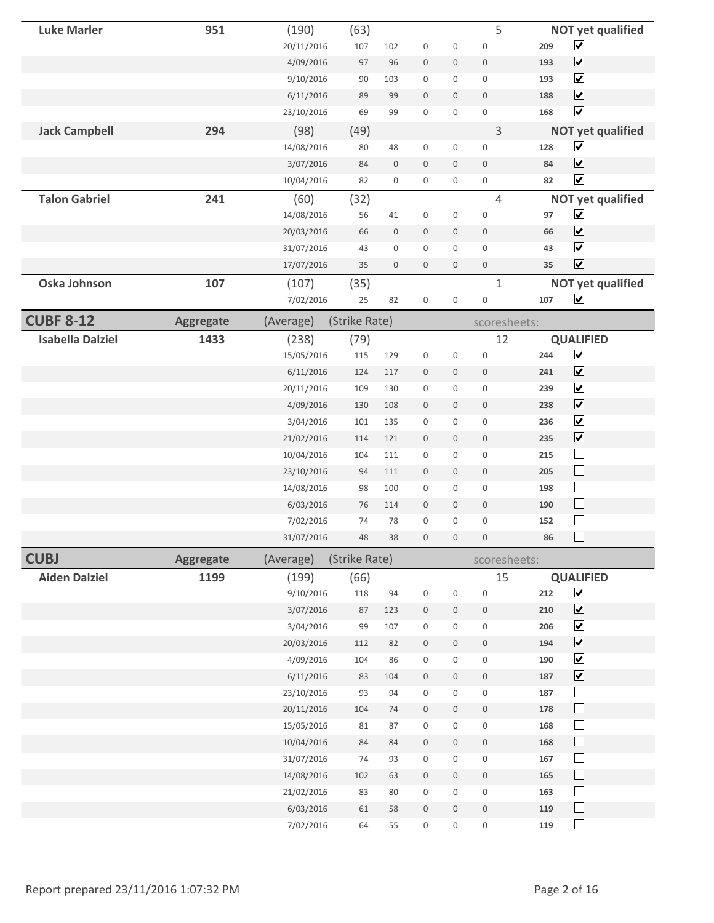| <b>Luke Marler</b>      | 951              | (190)      | (63)          |                     |                     |                     | 5                |     | <b>NOT yet qualified</b>    |  |
|-------------------------|------------------|------------|---------------|---------------------|---------------------|---------------------|------------------|-----|-----------------------------|--|
|                         |                  | 20/11/2016 | 107           | 102                 | $\boldsymbol{0}$    | 0                   | $\boldsymbol{0}$ | 209 | $\blacktriangledown$        |  |
|                         |                  | 4/09/2016  | 97            | 96                  | $\bf 0$             | 0                   | $\boldsymbol{0}$ | 193 | $\blacktriangledown$        |  |
|                         |                  | 9/10/2016  | 90            | 103                 | $\boldsymbol{0}$    | 0                   | $\boldsymbol{0}$ | 193 | $\blacktriangledown$        |  |
|                         |                  | 6/11/2016  | 89            | 99                  | $\boldsymbol{0}$    | $\boldsymbol{0}$    | $\bf 0$          | 188 | $\blacktriangledown$        |  |
|                         |                  | 23/10/2016 | 69            | 99                  | $\mathsf{O}\xspace$ | 0                   | $\boldsymbol{0}$ | 168 | $\blacktriangledown$        |  |
| <b>Jack Campbell</b>    | 294              | (98)       | (49)          |                     |                     |                     | 3                |     | <b>NOT yet qualified</b>    |  |
|                         |                  | 14/08/2016 | 80            | 48                  | 0                   | 0                   | $\mathbf 0$      | 128 | $\blacktriangledown$        |  |
|                         |                  | 3/07/2016  | 84            | $\boldsymbol{0}$    | $\boldsymbol{0}$    | $\mathbf 0$         | $\mathbf{0}$     | 84  | $\overline{\mathbf{v}}$     |  |
|                         |                  | 10/04/2016 | 82            | 0                   | 0                   | 0                   | 0                | 82  | $\overline{\mathbf{v}}$     |  |
| <b>Talon Gabriel</b>    | 241              | (60)       | (32)          |                     |                     |                     | $\overline{4}$   |     | <b>NOT yet qualified</b>    |  |
|                         |                  | 14/08/2016 | 56            | 41                  | 0                   | 0                   | $\boldsymbol{0}$ | 97  | $\blacktriangledown$        |  |
|                         |                  | 20/03/2016 | 66            | $\boldsymbol{0}$    | $\bf 0$             | $\boldsymbol{0}$    | $\bf 0$          | 66  | $\blacktriangledown$        |  |
|                         |                  | 31/07/2016 | 43            | $\mathsf{O}\xspace$ | $\mathbf 0$         | $\mathsf 0$         | $\mathbf 0$      | 43  | $\overline{\mathbf{v}}$     |  |
|                         |                  | 17/07/2016 | 35            | $\boldsymbol{0}$    | 0                   | 0                   | $\boldsymbol{0}$ | 35  | $\overline{\mathbf{v}}$     |  |
| Oska Johnson            | 107              | (107)      | (35)          |                     |                     |                     | $\mathbf{1}$     |     | <b>NOT yet qualified</b>    |  |
|                         |                  | 7/02/2016  | 25            | 82                  | $\boldsymbol{0}$    | 0                   | $\boldsymbol{0}$ | 107 | $\blacktriangledown$        |  |
| <b>CUBF 8-12</b>        | <b>Aggregate</b> | (Average)  | (Strike Rate) |                     |                     |                     | scoresheets:     |     |                             |  |
| <b>Isabella Dalziel</b> | 1433             | (238)      | (79)          |                     |                     |                     | 12               |     | <b>QUALIFIED</b>            |  |
|                         |                  | 15/05/2016 | 115           | 129                 | $\boldsymbol{0}$    | 0                   | $\boldsymbol{0}$ | 244 | $\blacktriangledown$        |  |
|                         |                  | 6/11/2016  | 124           | 117                 | $\boldsymbol{0}$    | $\mathbf 0$         | $\boldsymbol{0}$ | 241 | $\overline{\mathbf{v}}$     |  |
|                         |                  | 20/11/2016 | 109           | 130                 | $\mathbf 0$         | 0                   | $\mathbf 0$      | 239 | $\overline{\mathbf{v}}$     |  |
|                         |                  | 4/09/2016  | 130           | 108                 | $\boldsymbol{0}$    | $\mathbf 0$         | $\boldsymbol{0}$ | 238 | $\overline{\mathbf{v}}$     |  |
|                         |                  | 3/04/2016  | 101           | 135                 | $\boldsymbol{0}$    | 0                   | $\boldsymbol{0}$ | 236 | $\blacktriangledown$        |  |
|                         |                  | 21/02/2016 | 114           | 121                 | $\boldsymbol{0}$    | 0                   | $\mathbf 0$      | 235 | $\blacktriangledown$        |  |
|                         |                  | 10/04/2016 | 104           | 111                 | $\mathbf 0$         | 0                   | $\mathbf 0$      | 215 | $\Box$                      |  |
|                         |                  | 23/10/2016 | 94            | 111                 | $\boldsymbol{0}$    | $\mathbf 0$         | $\mathbf 0$      | 205 | $\Box$                      |  |
|                         |                  | 14/08/2016 | 98            | 100                 | $\mathbf 0$         | 0                   | $\boldsymbol{0}$ | 198 | $\mathcal{L}_{\mathcal{A}}$ |  |
|                         |                  | 6/03/2016  | 76            | 114                 | $\mathbf 0$         | $\mathbf 0$         | $\boldsymbol{0}$ | 190 | $\Box$                      |  |
|                         |                  | 7/02/2016  | 74            | 78                  | $\mathbf 0$         | $\mathsf{O}\xspace$ | $\mathbf 0$      | 152 |                             |  |
|                         |                  | 31/07/2016 | 48            | 38                  | $\mathbf{0}$        | $\mathbf 0$         | $\mathbf{0}$     | 86  |                             |  |
| <b>CUBJ</b>             | <b>Aggregate</b> | (Average)  | (Strike Rate) |                     |                     |                     | scoresheets:     |     |                             |  |
| <b>Aiden Dalziel</b>    | 1199             | (199)      | (66)          |                     |                     |                     | 15               |     | <b>QUALIFIED</b>            |  |
|                         |                  | 9/10/2016  | 118           | 94                  | 0                   | $\boldsymbol{0}$    | $\boldsymbol{0}$ | 212 | $\blacktriangledown$        |  |
|                         |                  | 3/07/2016  | 87            | 123                 | $\boldsymbol{0}$    | 0                   | $\,0\,$          | 210 | $\blacktriangledown$        |  |
|                         |                  | 3/04/2016  | 99            | 107                 | $\boldsymbol{0}$    | 0                   | $\boldsymbol{0}$ | 206 | $\blacktriangledown$        |  |
|                         |                  | 20/03/2016 | 112           | 82                  | $\boldsymbol{0}$    | $\boldsymbol{0}$    | $\boldsymbol{0}$ | 194 | $\blacktriangledown$        |  |
|                         |                  | 4/09/2016  | 104           | 86                  | $\,0\,$             | 0                   | $\boldsymbol{0}$ | 190 | $\blacktriangledown$        |  |
|                         |                  | 6/11/2016  | 83            | 104                 | $\boldsymbol{0}$    | 0                   | $\boldsymbol{0}$ | 187 | $\blacktriangledown$        |  |
|                         |                  | 23/10/2016 | 93            | $94\,$              | $\boldsymbol{0}$    | 0                   | $\boldsymbol{0}$ | 187 | $\Box$                      |  |
|                         |                  | 20/11/2016 | 104           | $74$                | $\boldsymbol{0}$    | $\boldsymbol{0}$    | $\boldsymbol{0}$ | 178 | $\Box$                      |  |
|                         |                  | 15/05/2016 | 81            | 87                  | $\boldsymbol{0}$    | 0                   | $\boldsymbol{0}$ | 168 | $\Box$                      |  |
|                         |                  | 10/04/2016 | 84            | 84                  | $\,0\,$             | $\boldsymbol{0}$    | $\,0\,$          | 168 | $\Box$                      |  |
|                         |                  | 31/07/2016 | 74            | 93                  | $\boldsymbol{0}$    | $\boldsymbol{0}$    | $\boldsymbol{0}$ | 167 | $\Box$                      |  |
|                         |                  | 14/08/2016 | 102           | 63                  | $\boldsymbol{0}$    | 0                   | $\boldsymbol{0}$ | 165 | $\Box$                      |  |
|                         |                  | 21/02/2016 | 83            | 80                  | $\boldsymbol{0}$    | 0                   | $\boldsymbol{0}$ | 163 | $\Box$                      |  |
|                         |                  | 6/03/2016  | 61            | 58                  | $\,0\,$             | $\boldsymbol{0}$    | $\boldsymbol{0}$ | 119 | $\Box$                      |  |
|                         |                  | 7/02/2016  | 64            | 55                  | $\boldsymbol{0}$    | 0                   | $\boldsymbol{0}$ | 119 | $\Box$                      |  |
|                         |                  |            |               |                     |                     |                     |                  |     |                             |  |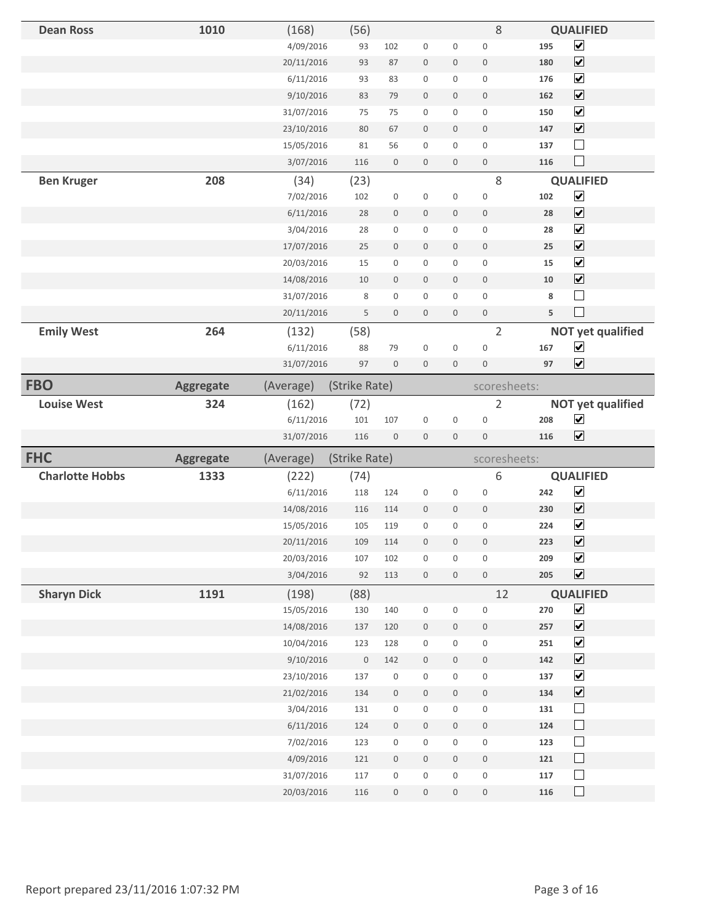| <b>Dean Ross</b>       | 1010             | (168)                    | (56)          |                                            |                  |                                    | 8                   |            | <b>QUALIFIED</b>         |
|------------------------|------------------|--------------------------|---------------|--------------------------------------------|------------------|------------------------------------|---------------------|------------|--------------------------|
|                        |                  | 4/09/2016                | 93            | 102                                        | $\boldsymbol{0}$ | $\boldsymbol{0}$                   | $\bf 0$             | 195        | $\overline{\mathbf{v}}$  |
|                        |                  | 20/11/2016               | 93            | 87                                         | $\boldsymbol{0}$ | $\boldsymbol{0}$                   | $\bf 0$             | 180        | $\blacktriangledown$     |
|                        |                  | 6/11/2016                | 93            | 83                                         | $\boldsymbol{0}$ | 0                                  | $\boldsymbol{0}$    | 176        | $\blacktriangledown$     |
|                        |                  | 9/10/2016                | 83            | 79                                         | $\boldsymbol{0}$ | 0                                  | $\bf 0$             | 162        | $\blacktriangledown$     |
|                        |                  | 31/07/2016               | 75            | 75                                         | $\mathbf 0$      | 0                                  | $\mathbf 0$         | 150        | $\blacktriangledown$     |
|                        |                  | 23/10/2016               | 80            | 67                                         | $\boldsymbol{0}$ | $\mathbf 0$                        | $\mathbf{0}$        | 147        | $\blacktriangledown$     |
|                        |                  | 15/05/2016               | 81            | 56                                         | $\boldsymbol{0}$ | 0                                  | $\boldsymbol{0}$    | 137        | $\overline{\phantom{a}}$ |
|                        |                  | 3/07/2016                | 116           | $\boldsymbol{0}$                           | $\boldsymbol{0}$ | $\boldsymbol{0}$                   | $\mathbf 0$         | 116        | $\mathcal{L}$            |
| <b>Ben Kruger</b>      | 208              | (34)                     | (23)          |                                            |                  |                                    | 8                   |            | <b>QUALIFIED</b>         |
|                        |                  | 7/02/2016                | 102           | $\boldsymbol{0}$                           | $\boldsymbol{0}$ | $\boldsymbol{0}$                   | $\bf 0$             | 102        | $\overline{\mathbf{v}}$  |
|                        |                  | 6/11/2016                | 28            | $\mathbf 0$                                | $\mathbf 0$      | $\mathbf 0$                        | $\mathbf 0$         | 28         | $\overline{\mathbf{v}}$  |
|                        |                  | 3/04/2016                | 28            | 0                                          | $\boldsymbol{0}$ | $\mathbf 0$                        | $\boldsymbol{0}$    | 28         | $\blacktriangledown$     |
|                        |                  | 17/07/2016               | 25            | $\boldsymbol{0}$                           | $\boldsymbol{0}$ | $\mathbf 0$                        | $\boldsymbol{0}$    | 25         | $\overline{\mathbf{v}}$  |
|                        |                  | 20/03/2016               | 15            | 0                                          | $\mathbf 0$      | $\boldsymbol{0}$                   | $\mathbf 0$         | 15         | $\blacktriangledown$     |
|                        |                  | 14/08/2016               | 10            | $\boldsymbol{0}$                           | $\mathbf 0$      | 0                                  | $\mathbf 0$         | 10         | $\blacktriangledown$     |
|                        |                  | 31/07/2016               | 8             | 0                                          | $\boldsymbol{0}$ | 0                                  | $\boldsymbol{0}$    | 8          |                          |
|                        |                  | 20/11/2016               | 5             | $\boldsymbol{0}$                           | $\mathbf 0$      | $\boldsymbol{0}$                   | $\boldsymbol{0}$    | 5          | $\sim$                   |
| <b>Emily West</b>      | 264              | (132)                    | (58)          |                                            |                  |                                    | $\overline{2}$      |            | <b>NOT yet qualified</b> |
|                        |                  | 6/11/2016                | 88            | 79                                         | $\mathbf 0$      | $\boldsymbol{0}$                   | $\boldsymbol{0}$    | 167        | $\blacktriangledown$     |
|                        |                  | 31/07/2016               | 97            | $\boldsymbol{0}$                           | $\mathbf 0$      | $\mathbf 0$                        | $\boldsymbol{0}$    | 97         | $\overline{\mathbf{v}}$  |
| <b>FBO</b>             | <b>Aggregate</b> | (Average)                | (Strike Rate) |                                            |                  |                                    | scoresheets:        |            |                          |
| <b>Louise West</b>     | 324              | (162)                    | (72)          |                                            |                  |                                    | $\overline{2}$      |            | <b>NOT yet qualified</b> |
|                        |                  |                          |               |                                            |                  |                                    |                     |            |                          |
|                        |                  | 6/11/2016                | 101           | 107                                        | $\boldsymbol{0}$ | $\boldsymbol{0}$                   | $\mathbf 0$         | 208        | $\blacktriangledown$     |
|                        |                  | 31/07/2016               | 116           | $\boldsymbol{0}$                           | $\mathbf 0$      | $\boldsymbol{0}$                   | $\mathbf{0}$        | 116        | $\overline{\mathbf{v}}$  |
| <b>FHC</b>             | <b>Aggregate</b> | (Average)                | (Strike Rate) |                                            |                  |                                    | scoresheets:        |            |                          |
| <b>Charlotte Hobbs</b> | 1333             | (222)                    | (74)          |                                            |                  |                                    | 6                   |            | <b>QUALIFIED</b>         |
|                        |                  | 6/11/2016                | 118           | 124                                        | $\boldsymbol{0}$ | 0                                  | $\boldsymbol{0}$    | 242        | $\blacktriangledown$     |
|                        |                  | 14/08/2016               | 116           | 114                                        | $\mathbf 0$      | $\mathbf 0$                        | $\boldsymbol{0}$    | 230        | $\overline{\mathbf{v}}$  |
|                        |                  | 15/05/2016               | 105           | 119                                        | $\boldsymbol{0}$ | 0                                  | $\mathbf 0$         | 224        | $\blacktriangledown$     |
|                        |                  | 20/11/2016               | 109           | 114                                        | $\mathbf 0$      | $\mathbf 0$                        | $\mathbf 0$         | 223        | $\blacktriangledown$     |
|                        |                  | 20/03/2016               | 107           | 102                                        | $\boldsymbol{0}$ | $\mathbf 0$                        | $\boldsymbol{0}$    | 209        | $\overline{\mathbf{v}}$  |
|                        |                  | 3/04/2016                | 92            | 113                                        | $\mathbb O$      | $\mathsf{O}\xspace$                | $\mathsf{O}\xspace$ | 205        | $\overline{\mathbf{v}}$  |
| <b>Sharyn Dick</b>     | 1191             | (198)                    | (88)          |                                            |                  |                                    | 12                  |            | <b>QUALIFIED</b>         |
|                        |                  | 15/05/2016               | 130           | 140                                        | $\boldsymbol{0}$ | $\mathbf 0$                        | $\boldsymbol{0}$    | 270        | $\overline{\mathbf{v}}$  |
|                        |                  | 14/08/2016               | 137           | 120                                        | $\boldsymbol{0}$ | $\boldsymbol{0}$                   | $\mathbf 0$         | 257        | $\blacktriangledown$     |
|                        |                  | 10/04/2016               | 123           | 128                                        | $\boldsymbol{0}$ | $\mathbf 0$                        | $\boldsymbol{0}$    | 251        | $\blacktriangledown$     |
|                        |                  | 9/10/2016                | $\,0\,$       | 142                                        | $\boldsymbol{0}$ | $\mathsf{O}\xspace$                | $\,0\,$             | 142        | $\overline{\mathbf{v}}$  |
|                        |                  | 23/10/2016               | 137           | $\boldsymbol{0}$                           | $\boldsymbol{0}$ | $\mathsf 0$                        | $\boldsymbol{0}$    | 137        | $\blacktriangledown$     |
|                        |                  | 21/02/2016               | 134           | $\boldsymbol{0}$                           | $\boldsymbol{0}$ | $\mathbf 0$                        | $\boldsymbol{0}$    | 134        | $\overline{\mathbf{v}}$  |
|                        |                  | 3/04/2016                | 131           | $\boldsymbol{0}$                           | $\mathbf 0$      | 0                                  | $\boldsymbol{0}$    | 131        | $\Box$                   |
|                        |                  | 6/11/2016                | 124           | $\,0\,$                                    | $\boldsymbol{0}$ | $\boldsymbol{0}$                   | $\boldsymbol{0}$    | 124        | $\Box$                   |
|                        |                  | 7/02/2016                | 123           | 0                                          | $\boldsymbol{0}$ | $\mathbf 0$                        | $\mathbf 0$         | 123        | $\Box$                   |
|                        |                  | 4/09/2016                | 121           | $\mathsf{O}\xspace$                        | $\mathbb O$      | $\mathbf 0$                        | $\mathbf 0$         | 121        | $\Box$                   |
|                        |                  | 31/07/2016<br>20/03/2016 | 117<br>116    | $\mathsf{O}\xspace$<br>$\mathsf{O}\xspace$ | $\boldsymbol{0}$ | $\mathbf 0$<br>$\mathsf{O}\xspace$ | $\mathbf 0$         | 117<br>116 | $\Box$<br>$\Box$         |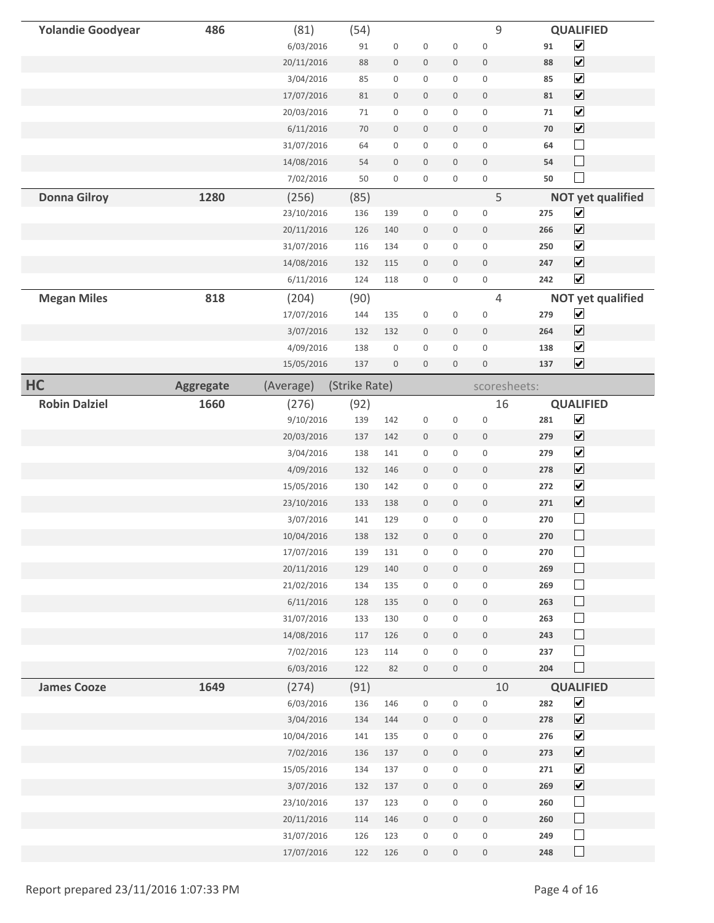| <b>Yolandie Goodyear</b> | 486              | (81)       | (54)          |                     |                  |                     | 9                |          | <b>QUALIFIED</b>         |
|--------------------------|------------------|------------|---------------|---------------------|------------------|---------------------|------------------|----------|--------------------------|
|                          |                  | 6/03/2016  | 91            | $\boldsymbol{0}$    | $\boldsymbol{0}$ | $\boldsymbol{0}$    | $\bf 0$          | $\bf 91$ | $\blacktriangledown$     |
|                          |                  | 20/11/2016 | 88            | $\mathsf{O}\xspace$ | $\bf 0$          | $\boldsymbol{0}$    | $\bf 0$          | 88       | $\blacktriangledown$     |
|                          |                  | 3/04/2016  | 85            | 0                   | $\boldsymbol{0}$ | 0                   | $\boldsymbol{0}$ | 85       | $\blacktriangledown$     |
|                          |                  | 17/07/2016 | 81            | $\boldsymbol{0}$    | $\bf 0$          | 0                   | $\bf 0$          | 81       | $\blacktriangledown$     |
|                          |                  | 20/03/2016 | 71            | 0                   | $\mathbf 0$      | 0                   | $\mathbf 0$      | 71       | $\blacktriangledown$     |
|                          |                  | 6/11/2016  | 70            | $\mathsf{O}\xspace$ | $\boldsymbol{0}$ | $\mathbf 0$         | $\mathbf{0}$     | 70       | $\blacktriangledown$     |
|                          |                  | 31/07/2016 | 64            | 0                   | $\mathbf 0$      | 0                   | $\boldsymbol{0}$ | 64       | $\Box$                   |
|                          |                  | 14/08/2016 | 54            | $\boldsymbol{0}$    | $\mathbf 0$      | $\mathbf 0$         | $\bf 0$          | 54       | $\Box$                   |
|                          |                  | 7/02/2016  | 50            | $\mathsf{O}\xspace$ | $\mathbf 0$      | 0                   | $\mathbf 0$      | 50       | $\Box$                   |
| <b>Donna Gilroy</b>      | 1280             | (256)      | (85)          |                     |                  |                     | 5                |          | <b>NOT yet qualified</b> |
|                          |                  | 23/10/2016 | 136           | 139                 | $\boldsymbol{0}$ | $\boldsymbol{0}$    | $\boldsymbol{0}$ | 275      | $\blacktriangledown$     |
|                          |                  | 20/11/2016 | 126           | 140                 | $\mathbf 0$      | $\boldsymbol{0}$    | $\mathbf 0$      | 266      | $\overline{\mathbf{v}}$  |
|                          |                  | 31/07/2016 | 116           | 134                 | $\boldsymbol{0}$ | 0                   | $\boldsymbol{0}$ | 250      | $\blacktriangledown$     |
|                          |                  | 14/08/2016 | 132           | 115                 | $\mathbf 0$      | $\mathbf 0$         | $\mathbf 0$      | 247      | $\blacktriangledown$     |
|                          |                  | 6/11/2016  | 124           | 118                 | $\boldsymbol{0}$ | 0                   | $\boldsymbol{0}$ | 242      | $\blacktriangledown$     |
| <b>Megan Miles</b>       | 818              | (204)      | (90)          |                     |                  |                     | $\overline{4}$   |          | <b>NOT yet qualified</b> |
|                          |                  | 17/07/2016 | 144           | 135                 | $\boldsymbol{0}$ | 0                   | $\boldsymbol{0}$ | 279      | $\blacktriangledown$     |
|                          |                  | 3/07/2016  | 132           | 132                 | $\mathbf 0$      | 0                   | $\bf 0$          | 264      | $\overline{\mathbf{v}}$  |
|                          |                  | 4/09/2016  | 138           | $\boldsymbol{0}$    | $\mathbf 0$      | 0                   | $\mathbf 0$      | 138      | $\blacktriangledown$     |
|                          |                  | 15/05/2016 | 137           | $\boldsymbol{0}$    | $\bf 0$          | $\mathbf 0$         | $\boldsymbol{0}$ | 137      | $\overline{\mathbf{v}}$  |
| HC                       | <b>Aggregate</b> | (Average)  | (Strike Rate) |                     |                  |                     | scoresheets:     |          |                          |
| <b>Robin Dalziel</b>     | 1660             | (276)      | (92)          |                     |                  |                     | 16               |          | <b>QUALIFIED</b>         |
|                          |                  | 9/10/2016  | 139           | 142                 | $\boldsymbol{0}$ | $\boldsymbol{0}$    | $\boldsymbol{0}$ | 281      | $\blacktriangledown$     |
|                          |                  | 20/03/2016 | 137           | 142                 | $\bf 0$          | $\boldsymbol{0}$    | $\mathbf{0}$     | 279      | $\blacktriangledown$     |
|                          |                  | 3/04/2016  | 138           | 141                 | $\mathbf 0$      | 0                   | $\boldsymbol{0}$ | 279      | $\blacktriangledown$     |
|                          |                  | 4/09/2016  | 132           | 146                 | $\bf 0$          | $\boldsymbol{0}$    | $\bf 0$          | 278      | $\blacktriangledown$     |
|                          |                  | 15/05/2016 | 130           | 142                 | $\boldsymbol{0}$ | $\boldsymbol{0}$    | $\mathbf 0$      | 272      | $\blacktriangledown$     |
|                          |                  | 23/10/2016 | 133           | 138                 | $\bf 0$          | 0                   | $\boldsymbol{0}$ | 271      | $\blacktriangledown$     |
|                          |                  | 3/07/2016  | 141           | 129                 | $\mathbf 0$      | 0                   | $\boldsymbol{0}$ | 270      | $\Box$                   |
|                          |                  | 10/04/2016 | 138           | 132                 | $\mathbf 0$      | 0                   | $\boldsymbol{0}$ | 270      | $\Box$                   |
|                          |                  | 17/07/2016 | 139           | 131                 | $\mathbf 0$      | 0                   | $\mathbf 0$      | 270      | $\Box$                   |
|                          |                  | 20/11/2016 | 129           | 140                 | $\boldsymbol{0}$ | $\mathsf{O}\xspace$ | $\,0\,$          | 269      | $\Box$                   |
|                          |                  | 21/02/2016 | 134           | 135                 | $\boldsymbol{0}$ | 0                   | $\boldsymbol{0}$ | 269      | $\Box$                   |
|                          |                  | 6/11/2016  | 128           | 135                 | $\mathbb O$      | $\boldsymbol{0}$    | $\,0\,$          | 263      | $\Box$                   |
|                          |                  | 31/07/2016 | 133           | 130                 | $\boldsymbol{0}$ | 0                   | $\mathbf 0$      | 263      | $\Box$                   |
|                          |                  | 14/08/2016 | 117           | 126                 | $\mathbf 0$      | $\mathsf{O}\xspace$ | $\boldsymbol{0}$ | 243      | $\Box$                   |
|                          |                  | 7/02/2016  | 123           | 114                 | $\boldsymbol{0}$ | $\mathbf 0$         | $\boldsymbol{0}$ | 237      | $\Box$                   |
|                          |                  | 6/03/2016  | 122           | 82                  | $\boldsymbol{0}$ | $\mathbf 0$         | $\mathbb O$      | 204      | $\Box$                   |
| <b>James Cooze</b>       | 1649             | (274)      | (91)          |                     |                  |                     | 10               |          | <b>QUALIFIED</b>         |
|                          |                  | 6/03/2016  | 136           | 146                 | $\boldsymbol{0}$ | $\boldsymbol{0}$    | $\boldsymbol{0}$ | 282      | $\blacktriangledown$     |
|                          |                  | 3/04/2016  | 134           | 144                 | $\boldsymbol{0}$ | $\mathbf 0$         | $\boldsymbol{0}$ | 278      | $\overline{\mathbf{v}}$  |
|                          |                  | 10/04/2016 | 141           | 135                 | $\mathsf{O}$     | $\mathsf{O}\xspace$ | $\boldsymbol{0}$ | 276      | $\blacktriangledown$     |
|                          |                  | 7/02/2016  | 136           | 137                 | $\mathbb O$      | $\mathsf{O}\xspace$ | $\boldsymbol{0}$ | 273      | $\blacktriangledown$     |
|                          |                  | 15/05/2016 | 134           | 137                 | $\mathbb O$      | $\boldsymbol{0}$    | $\boldsymbol{0}$ | 271      | $\blacktriangledown$     |
|                          |                  | 3/07/2016  | 132           | 137                 | $\mathbb O$      | $\mathsf{O}\xspace$ | $\mathbb O$      | 269      | $\blacktriangledown$     |
|                          |                  | 23/10/2016 | 137           | 123                 | $\boldsymbol{0}$ | $\mathsf{O}\xspace$ | $\boldsymbol{0}$ | 260      | $\Box$                   |
|                          |                  | 20/11/2016 | 114           | 146                 | $\mathbb O$      | $\mathbb O$         | $\,0\,$          | 260      | $\Box$                   |
|                          |                  | 31/07/2016 | 126           | 123                 | $\boldsymbol{0}$ | $\mathbf 0$         | $\boldsymbol{0}$ | 249      | $\Box$                   |
|                          |                  | 17/07/2016 | 122           | 126                 | $\mathbf 0$      | $\boldsymbol{0}$    | $\,0\,$          | 248      | $\Box$                   |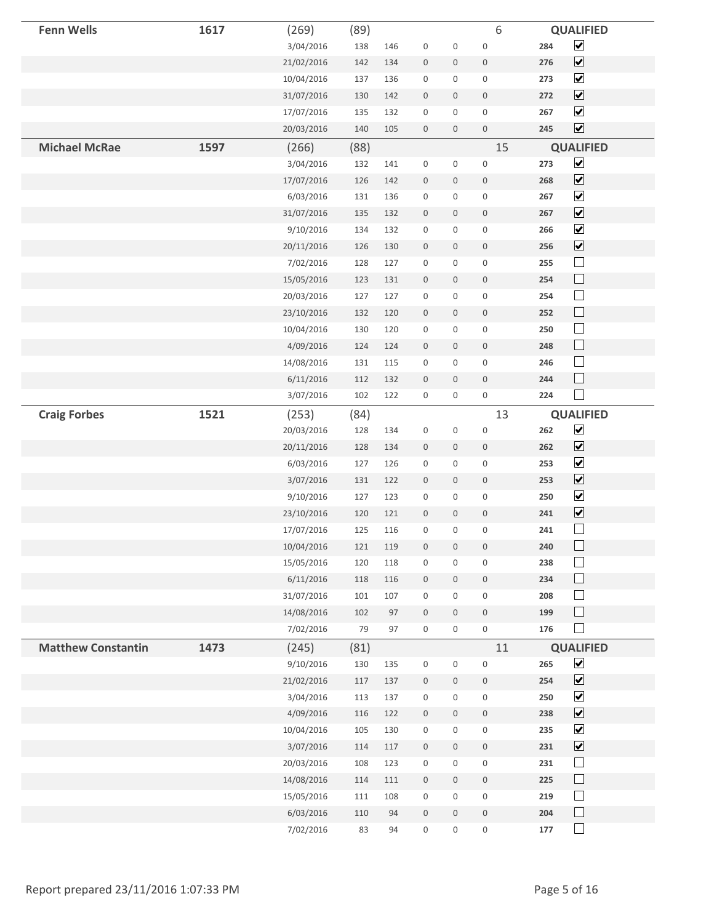| <b>Fenn Wells</b>         | 1617 | (269)                  | (89)      |          |                                      |                     | 6                                   |            | <b>QUALIFIED</b>                             |
|---------------------------|------|------------------------|-----------|----------|--------------------------------------|---------------------|-------------------------------------|------------|----------------------------------------------|
|                           |      | 3/04/2016              | 138       | 146      | $\boldsymbol{0}$                     | $\boldsymbol{0}$    | $\boldsymbol{0}$                    | 284        | $\blacktriangledown$                         |
|                           |      | 21/02/2016             | 142       | 134      | $\mathbf 0$                          | $\boldsymbol{0}$    | $\mathbf 0$                         | 276        | $\blacktriangledown$                         |
|                           |      | 10/04/2016             | 137       | 136      | $\mathbf 0$                          | 0                   | $\boldsymbol{0}$                    | 273        | $\blacktriangledown$                         |
|                           |      | 31/07/2016             | 130       | 142      | $\boldsymbol{0}$                     | 0                   | $\boldsymbol{0}$                    | 272        | $\blacktriangledown$                         |
|                           |      | 17/07/2016             | 135       | 132      | $\boldsymbol{0}$                     | 0                   | $\mathbf 0$                         | 267        | $\blacktriangledown$                         |
|                           |      | 20/03/2016             | 140       | 105      | $\,0\,$                              | $\mathbf 0$         | $\mathbb O$                         | 245        | $\blacktriangledown$                         |
| <b>Michael McRae</b>      | 1597 | (266)                  | (88)      |          |                                      |                     | 15                                  |            | <b>QUALIFIED</b>                             |
|                           |      | 3/04/2016              | 132       | 141      | $\mathbf 0$                          | 0                   | $\mathbf 0$                         | 273        | $\overline{\mathbf{v}}$                      |
|                           |      | 17/07/2016             | 126       | 142      | $\boldsymbol{0}$                     | $\mathbf 0$         | $\boldsymbol{0}$                    | 268        | $\blacktriangledown$                         |
|                           |      | 6/03/2016              | 131       | 136      | $\boldsymbol{0}$                     | 0                   | $\boldsymbol{0}$                    | 267        | $\blacktriangledown$                         |
|                           |      | 31/07/2016             | 135       | 132      | $\bf 0$                              | 0                   | $\boldsymbol{0}$                    | 267        | $\blacktriangledown$                         |
|                           |      | 9/10/2016              | 134       | 132      | $\boldsymbol{0}$                     | 0                   | $\boldsymbol{0}$                    | 266        | $\blacktriangledown$                         |
|                           |      | 20/11/2016             | 126       | 130      | $\bf 0$                              | $\mathbf 0$         | $\bf 0$                             | 256        | $\blacktriangledown$                         |
|                           |      | 7/02/2016              | 128       | 127      | $\,0\,$                              | $\boldsymbol{0}$    | $\boldsymbol{0}$                    | 255        | $\overline{\phantom{a}}$                     |
|                           |      | 15/05/2016             | 123       | 131      | $\boldsymbol{0}$                     | $\mathbf 0$         | $\mathbb O$                         | 254        | $\Box$                                       |
|                           |      | 20/03/2016             | 127       | 127      | $\mathbf 0$                          | 0                   | $\boldsymbol{0}$                    | 254        | $\Box$                                       |
|                           |      | 23/10/2016             | 132       | 120      | $\mathbf 0$                          | $\boldsymbol{0}$    | $\boldsymbol{0}$                    | 252        | $\Box$                                       |
|                           |      | 10/04/2016             | 130       | 120      | $\boldsymbol{0}$                     | $\mathbf 0$         | $\boldsymbol{0}$                    | 250        | $\Box$                                       |
|                           |      | 4/09/2016              | 124       | 124      | $\bf 0$                              | $\mathbf 0$         | $\boldsymbol{0}$                    | 248        | $\Box$                                       |
|                           |      | 14/08/2016             | 131       | 115      | $\boldsymbol{0}$                     | 0                   | $\boldsymbol{0}$                    | 246        | $\Box$                                       |
|                           |      | 6/11/2016              | 112       | 132      | $\bf 0$                              | $\boldsymbol{0}$    | $\boldsymbol{0}$                    | 244        | $\Box$                                       |
|                           |      | 3/07/2016              | 102       | 122      | $\boldsymbol{0}$                     | 0                   | $\boldsymbol{0}$                    | 224        | $\Box$                                       |
| <b>Craig Forbes</b>       | 1521 | (253)                  | (84)      |          |                                      |                     | 13                                  |            | <b>QUALIFIED</b>                             |
|                           |      | 20/03/2016             | 128       | 134      | $\,0\,$                              | $\boldsymbol{0}$    | $\boldsymbol{0}$                    | 262        | $\blacktriangledown$                         |
|                           |      | 20/11/2016             | 128       | 134      | $\boldsymbol{0}$                     | $\boldsymbol{0}$    | $\mathbf 0$                         | 262        | $\blacktriangledown$                         |
|                           |      | 6/03/2016              | 127       | 126      | $\boldsymbol{0}$                     | $\mathbf 0$         | $\boldsymbol{0}$                    | 253        | $\blacktriangledown$                         |
|                           |      | 3/07/2016              | 131       | 122      | $\mathbf 0$                          | 0                   | $\boldsymbol{0}$                    | 253        | $\blacktriangledown$                         |
|                           |      | 9/10/2016              | 127       | 123      | $\boldsymbol{0}$                     | 0                   | $\boldsymbol{0}$                    | 250        | $\blacktriangledown$                         |
|                           |      | 23/10/2016             | 120       | 121      | $\boldsymbol{0}$                     | $\mathbf 0$         | $\mathbb O$                         | 241        | $\overline{\mathbf{v}}$                      |
|                           |      | 17/07/2016             | 125       | 116      | $\boldsymbol{0}$                     | 0                   | $\bf 0$                             | 241        | $\Box$<br>$\Box$                             |
|                           |      | 10/04/2016             | 121       | 119      | 0                                    | $\boldsymbol{0}$    | $\boldsymbol{0}$                    | 240        | $\Box$                                       |
|                           |      | 15/05/2016             | 120       | 118      | $\boldsymbol{0}$                     | $\boldsymbol{0}$    | $\mathsf{O}\xspace$                 | 238        | $\overline{\phantom{a}}$                     |
|                           |      | 6/11/2016              | 118       | 116      | $\boldsymbol{0}$                     | $\mathsf{O}\xspace$ | $\mathsf{O}$                        | 234        | $\overline{\phantom{a}}$                     |
|                           |      | 31/07/2016             | 101       | 107      | $\,0\,$                              | 0                   | $\mathsf{O}\xspace$                 | 208        | $\overline{\phantom{a}}$                     |
|                           |      | 14/08/2016             | 102       | 97       | $\mathbb O$                          | $\mathbf 0$         | $\mathbb O$                         | 199        | $\Box$                                       |
|                           |      | 7/02/2016              | 79        | 97       | $\boldsymbol{0}$                     | $\mathbf 0$         | $\mathsf{O}\xspace$                 | 176        | $\mathcal{L}_{\mathcal{A}}$                  |
| <b>Matthew Constantin</b> | 1473 | (245)                  | (81)      |          |                                      |                     | 11                                  |            | <b>QUALIFIED</b>                             |
|                           |      | 9/10/2016              | 130       | 135      | $\boldsymbol{0}$                     | 0                   | $\mathsf{O}\xspace$                 | 265        | $\blacktriangledown$                         |
|                           |      | 21/02/2016             | 117       | 137      | $\mathbb O$                          | $\mathbf 0$         | $\mathsf{O}$                        | 254        | $\blacktriangledown$                         |
|                           |      | 3/04/2016              | 113       | 137      | $\boldsymbol{0}$                     | 0                   | $\boldsymbol{0}$                    | 250        | $\blacktriangledown$                         |
|                           |      | 4/09/2016              | 116       | 122      | $\,0\,$                              | $\mathbf 0$         | $\boldsymbol{0}$                    | 238        | $\blacktriangledown$<br>$\blacktriangledown$ |
|                           |      | 10/04/2016             | 105       | 130      | $\boldsymbol{0}$                     | 0                   | $\mathsf{O}\xspace$                 | 235        |                                              |
|                           |      | 3/07/2016              | 114       | 117      | $\boldsymbol{0}$                     | 0                   | $\mathbf 0$                         | 231        | $\overline{\mathbf{v}}$<br>$\Box$            |
|                           |      | 20/03/2016             | 108       | 123      | $\boldsymbol{0}$                     | 0                   | $\boldsymbol{0}$                    | 231        | $\Box$                                       |
|                           |      | 14/08/2016             | 114       | 111      | $\mathbb O$                          | $\mathbf 0$         | $\mathbf 0$                         | 225        | $\Box$                                       |
|                           |      | 15/05/2016             | 111       | 108      | $\boldsymbol{0}$                     | 0<br>$\mathbf 0$    | $\mathbb O$                         | 219<br>204 | $\Box$                                       |
|                           |      | 6/03/2016<br>7/02/2016 | 110<br>83 | 94<br>94 | $\boldsymbol{0}$<br>$\boldsymbol{0}$ | 0                   | $\mathsf{O}$<br>$\mathsf{O}\xspace$ | 177        | $\Box$                                       |
|                           |      |                        |           |          |                                      |                     |                                     |            |                                              |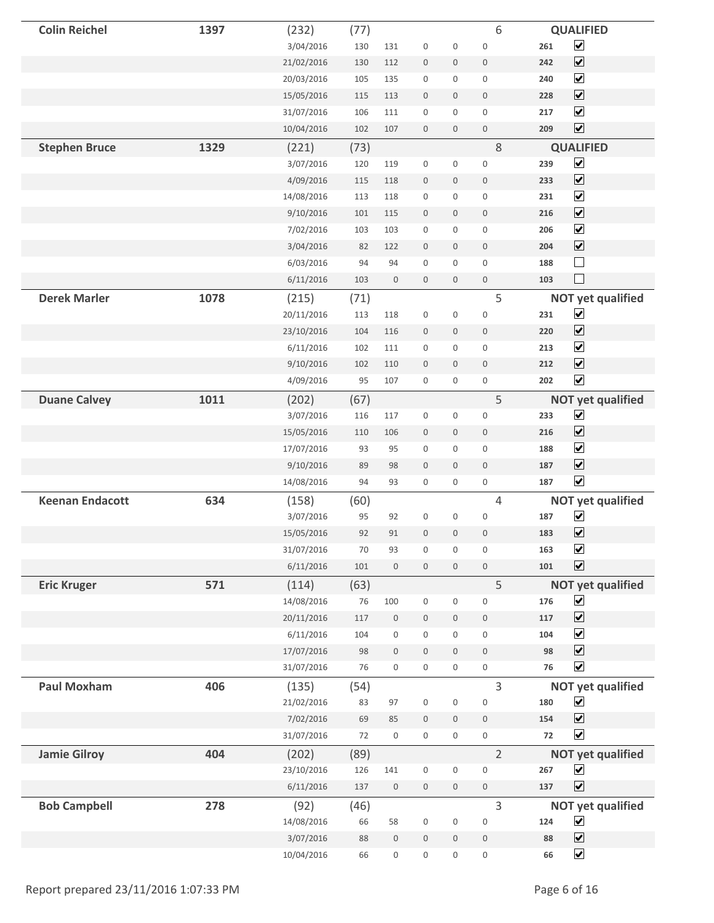| <b>Colin Reichel</b>   | 1397 | (232)      | (77) |                     |                  |                     | 6                |     | <b>QUALIFIED</b>         |
|------------------------|------|------------|------|---------------------|------------------|---------------------|------------------|-----|--------------------------|
|                        |      | 3/04/2016  | 130  | 131                 | $\bf 0$          | 0                   | $\mathbf 0$      | 261 | $\blacktriangledown$     |
|                        |      | 21/02/2016 | 130  | 112                 | $\boldsymbol{0}$ | 0                   | $\boldsymbol{0}$ | 242 | $\blacktriangledown$     |
|                        |      | 20/03/2016 | 105  | 135                 | $\boldsymbol{0}$ | $\mathbf 0$         | $\boldsymbol{0}$ | 240 | $\blacktriangledown$     |
|                        |      | 15/05/2016 | 115  | 113                 | $\mathbf 0$      | $\mathbf 0$         | $\mathbf 0$      | 228 | $\blacktriangledown$     |
|                        |      | 31/07/2016 | 106  | 111                 | $\boldsymbol{0}$ | 0                   | $\boldsymbol{0}$ | 217 | $\blacktriangledown$     |
|                        |      | 10/04/2016 | 102  | 107                 | $\bf 0$          | $\mathbf 0$         | $\,0\,$          | 209 | $\blacktriangledown$     |
| <b>Stephen Bruce</b>   | 1329 | (221)      | (73) |                     |                  |                     | 8                |     | <b>QUALIFIED</b>         |
|                        |      | 3/07/2016  | 120  | 119                 | $\boldsymbol{0}$ | 0                   | $\boldsymbol{0}$ | 239 | $\blacktriangleright$    |
|                        |      | 4/09/2016  | 115  | 118                 | $\bf 0$          | $\mathbf 0$         | $\mathbf 0$      | 233 | $\blacktriangledown$     |
|                        |      | 14/08/2016 | 113  | 118                 | $\mathbf 0$      | 0                   | $\mathsf{O}$     | 231 | $\blacktriangledown$     |
|                        |      | 9/10/2016  | 101  | 115                 | $\bf 0$          | $\mathbf 0$         | $\mathbf 0$      | 216 | $\blacktriangledown$     |
|                        |      | 7/02/2016  | 103  | 103                 | $\boldsymbol{0}$ | 0                   | $\boldsymbol{0}$ | 206 | $\blacktriangledown$     |
|                        |      | 3/04/2016  | 82   | 122                 | $\mathbf 0$      | $\mathbf 0$         | $\bf 0$          | 204 | $\blacktriangledown$     |
|                        |      | 6/03/2016  | 94   | 94                  | $\boldsymbol{0}$ | 0                   | $\boldsymbol{0}$ | 188 | Ξ                        |
|                        |      | 6/11/2016  | 103  | $\boldsymbol{0}$    | $\bf 0$          | 0                   | $\boldsymbol{0}$ | 103 |                          |
| <b>Derek Marler</b>    | 1078 | (215)      | (71) |                     |                  |                     | 5                |     | <b>NOT yet qualified</b> |
|                        |      | 20/11/2016 | 113  | 118                 | $\boldsymbol{0}$ | 0                   | $\boldsymbol{0}$ | 231 | $\blacktriangledown$     |
|                        |      | 23/10/2016 | 104  | 116                 | $\bf 0$          | 0                   | $\bf 0$          | 220 | $\blacktriangledown$     |
|                        |      | 6/11/2016  | 102  | 111                 | $\boldsymbol{0}$ | $\mathsf{O}\xspace$ | $\mathbf 0$      | 213 | $\blacktriangledown$     |
|                        |      | 9/10/2016  | 102  | 110                 | $\bf 0$          | $\mathsf{O}\xspace$ | $\mathbf 0$      | 212 | $\blacktriangledown$     |
|                        |      | 4/09/2016  | 95   | 107                 | $\boldsymbol{0}$ | 0                   | $\boldsymbol{0}$ | 202 | $\overline{\mathbf{v}}$  |
| <b>Duane Calvey</b>    | 1011 | (202)      | (67) |                     |                  |                     | 5                |     | <b>NOT yet qualified</b> |
|                        |      | 3/07/2016  | 116  | 117                 | $\boldsymbol{0}$ | 0                   | $\boldsymbol{0}$ | 233 | $\blacktriangledown$     |
|                        |      | 15/05/2016 | 110  | 106                 | $\bf 0$          | $\mathsf{O}\xspace$ | $\mathbf 0$      | 216 | $\blacktriangledown$     |
|                        |      | 17/07/2016 | 93   | 95                  | $\boldsymbol{0}$ | $\mathbf 0$         | $\mathbf 0$      | 188 | $\blacktriangledown$     |
|                        |      | 9/10/2016  | 89   | 98                  | $\bf 0$          | $\mathbf 0$         | $\mathbf 0$      | 187 | $\blacktriangledown$     |
|                        |      | 14/08/2016 | 94   | 93                  | $\boldsymbol{0}$ | 0                   | $\boldsymbol{0}$ | 187 | $\blacktriangledown$     |
| <b>Keenan Endacott</b> | 634  | (158)      | (60) |                     |                  |                     | 4                |     | <b>NOT yet qualified</b> |
|                        |      | 3/07/2016  | 95   | 92                  | $\mathbf 0$      | 0                   | $\mathbf 0$      | 187 | $\blacktriangledown$     |
|                        |      | 15/05/2016 | 92   | 91                  | $\mathbf 0$      | 0                   | $\mathbf{0}$     | 183 | $\blacktriangledown$     |
|                        |      | 31/07/2016 | 70   | 93                  | $\boldsymbol{0}$ | 0                   | $\mathbf 0$      | 163 | $\blacktriangledown$     |
|                        |      | 6/11/2016  | 101  | $\boldsymbol{0}$    | $\mathbf 0$      | 0                   | $\mathbf 0$      | 101 | $\blacktriangledown$     |
| <b>Eric Kruger</b>     | 571  | (114)      | (63) |                     |                  |                     | 5                |     | <b>NOT yet qualified</b> |
|                        |      | 14/08/2016 | 76   | 100                 | $\boldsymbol{0}$ | 0                   | $\boldsymbol{0}$ | 176 | $\blacktriangledown$     |
|                        |      | 20/11/2016 | 117  | $\boldsymbol{0}$    | $\bf 0$          | $\overline{0}$      | $\mathbf 0$      | 117 | $\blacktriangledown$     |
|                        |      | 6/11/2016  | 104  | $\mathsf{O}\xspace$ | $\boldsymbol{0}$ | 0                   | $\mathbf 0$      | 104 | $\blacktriangledown$     |
|                        |      | 17/07/2016 | 98   | $\boldsymbol{0}$    | $\bf 0$          | $\mathsf{O}\xspace$ | $\boldsymbol{0}$ | 98  | $\blacktriangledown$     |
|                        |      | 31/07/2016 | 76   | $\mathsf{O}\xspace$ | $\boldsymbol{0}$ | $\mathbf 0$         | $\boldsymbol{0}$ | 76  | $\blacktriangledown$     |
| <b>Paul Moxham</b>     | 406  | (135)      | (54) |                     |                  |                     | 3                |     | <b>NOT yet qualified</b> |
|                        |      | 21/02/2016 | 83   | 97                  | $\boldsymbol{0}$ | 0                   | $\boldsymbol{0}$ | 180 | $\blacktriangledown$     |
|                        |      | 7/02/2016  | 69   | 85                  | $\bf 0$          | 0                   | $\mathbf 0$      | 154 | $\blacktriangledown$     |
|                        |      | 31/07/2016 | 72   | $\mathsf{O}\xspace$ | $\boldsymbol{0}$ | $\mathbf 0$         | $\mathbf 0$      | 72  | $\overline{\mathbf{v}}$  |
| <b>Jamie Gilroy</b>    | 404  | (202)      | (89) |                     |                  |                     | $\overline{2}$   |     | <b>NOT yet qualified</b> |
|                        |      | 23/10/2016 | 126  | 141                 | $\boldsymbol{0}$ | $\mathbf 0$         | $\boldsymbol{0}$ | 267 | $\blacktriangledown$     |
|                        |      | 6/11/2016  | 137  | $\,0\,$             | $\mathbf 0$      | $\mathsf{O}\xspace$ | $\mathbb O$      | 137 | $\overline{\mathbf{v}}$  |
| <b>Bob Campbell</b>    | 278  | (92)       | (46) |                     |                  |                     | 3                |     | <b>NOT yet qualified</b> |
|                        |      | 14/08/2016 | 66   | 58                  | $\boldsymbol{0}$ | 0                   | $\mathbf 0$      | 124 | $\blacktriangledown$     |
|                        |      | 3/07/2016  | 88   | $\boldsymbol{0}$    | $\bf 0$          | $\mathsf{O}\xspace$ | $\mathbb O$      | 88  | $\blacktriangledown$     |
|                        |      | 10/04/2016 | 66   | $\boldsymbol{0}$    | $\boldsymbol{0}$ | $\mathbf 0$         | $\boldsymbol{0}$ | 66  | $\blacktriangledown$     |
|                        |      |            |      |                     |                  |                     |                  |     |                          |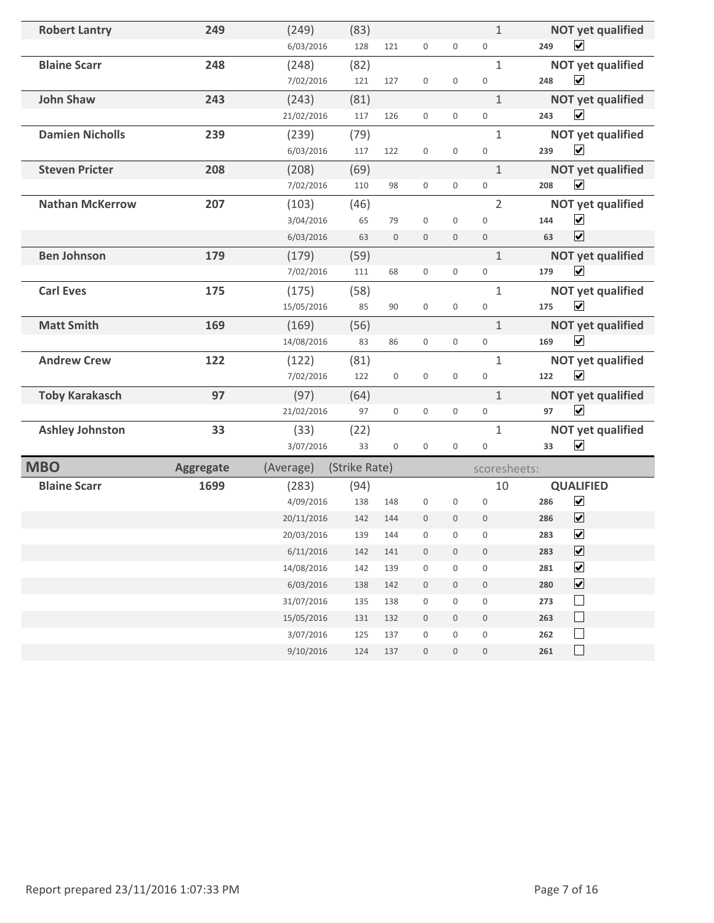| <b>Robert Lantry</b>   | 249              | (249)      | (83)          |                     |                     |                     | $\mathbf{1}$        | <b>NOT yet qualified</b>           |
|------------------------|------------------|------------|---------------|---------------------|---------------------|---------------------|---------------------|------------------------------------|
|                        |                  | 6/03/2016  | 128           | 121                 | $\boldsymbol{0}$    | $\boldsymbol{0}$    | $\boldsymbol{0}$    | $\blacktriangledown$<br>249        |
| <b>Blaine Scarr</b>    | 248              | (248)      | (82)          |                     |                     |                     | $\mathbf{1}$        | <b>NOT yet qualified</b>           |
|                        |                  | 7/02/2016  | 121           | 127                 | $\boldsymbol{0}$    | $\mathbf 0$         | $\mathbf 0$         | $\blacktriangledown$<br>248        |
| <b>John Shaw</b>       | 243              | (243)      | (81)          |                     |                     |                     | $\mathbf{1}$        | <b>NOT yet qualified</b>           |
|                        |                  | 21/02/2016 | 117           | 126                 | $\mathsf{O}\xspace$ | $\boldsymbol{0}$    | $\mathbf 0$         | $\blacktriangledown$<br>243        |
| <b>Damien Nicholls</b> | 239              | (239)      | (79)          |                     |                     |                     | $\mathbf{1}$        | <b>NOT yet qualified</b>           |
|                        |                  | 6/03/2016  | 117           | 122                 | $\mathbf 0$         | $\mathbf 0$         | $\mathbf 0$         | $\blacktriangledown$<br>239        |
| <b>Steven Pricter</b>  | 208              | (208)      | (69)          |                     |                     |                     | $\mathbf{1}$        | <b>NOT yet qualified</b>           |
|                        |                  | 7/02/2016  | 110           | 98                  | $\mathsf{O}\xspace$ | $\boldsymbol{0}$    | $\mathbf 0$         | $\overline{\mathbf{v}}$<br>208     |
| <b>Nathan McKerrow</b> | 207              | (103)      | (46)          |                     |                     |                     | $\overline{2}$      | <b>NOT yet qualified</b>           |
|                        |                  | 3/04/2016  | 65            | 79                  | $\mathbf 0$         | $\mathbf 0$         | $\mathbf 0$         | $\blacktriangledown$<br>144        |
|                        |                  | 6/03/2016  | 63            | $\mathbf 0$         | $\mathbf 0$         | $\mathbf 0$         | $\mathbf 0$         | $\blacktriangledown$<br>63         |
| <b>Ben Johnson</b>     | 179              | (179)      | (59)          |                     |                     |                     | $\mathbf{1}$        | <b>NOT yet qualified</b>           |
|                        |                  | 7/02/2016  | 111           | 68                  | $\mathsf{O}\xspace$ | $\boldsymbol{0}$    | $\boldsymbol{0}$    | $\blacktriangledown$<br>179        |
| <b>Carl Eves</b>       | 175              | (175)      | (58)          |                     |                     |                     | $\mathbf{1}$        | <b>NOT yet qualified</b>           |
|                        |                  | 15/05/2016 | 85            | 90                  | $\mathbf 0$         | $\boldsymbol{0}$    | $\mathbf 0$         | $\blacktriangledown$<br>175        |
| <b>Matt Smith</b>      | 169              | (169)      | (56)          |                     |                     |                     | $\mathbf 1$         | <b>NOT yet qualified</b>           |
|                        |                  | 14/08/2016 | 83            | 86                  | $\mathsf{O}\xspace$ | $\boldsymbol{0}$    | $\boldsymbol{0}$    | $\blacktriangledown$<br>169        |
| <b>Andrew Crew</b>     | 122              | (122)      | (81)          |                     |                     |                     | $\mathbf{1}$        | <b>NOT yet qualified</b>           |
|                        |                  | 7/02/2016  | 122           | $\mathsf{O}\xspace$ | $\mathbf 0$         | $\boldsymbol{0}$    | $\boldsymbol{0}$    | $\overline{\mathbf{v}}$<br>122     |
| <b>Toby Karakasch</b>  | 97               | (97)       | (64)          |                     |                     |                     | $\mathbf{1}$        | <b>NOT yet qualified</b>           |
|                        |                  | 21/02/2016 | 97            | $\mathsf{O}\xspace$ | $\mathbf 0$         | $\boldsymbol{0}$    | $\boldsymbol{0}$    | $\blacktriangledown$<br>97         |
| <b>Ashley Johnston</b> | 33               | (33)       | (22)          |                     |                     |                     | $\mathbf{1}$        | <b>NOT yet qualified</b>           |
|                        |                  | 3/07/2016  | 33            | $\mathbf 0$         | $\mathbf 0$         | $\boldsymbol{0}$    | $\boldsymbol{0}$    | $\blacktriangledown$<br>33         |
| <b>MBO</b>             | <b>Aggregate</b> | (Average)  | (Strike Rate) |                     |                     |                     | scoresheets:        |                                    |
| <b>Blaine Scarr</b>    | 1699             | (283)      | (94)          |                     |                     |                     | 10                  | <b>QUALIFIED</b>                   |
|                        |                  | 4/09/2016  | 138           | 148                 | $\mathbf 0$         | $\mathbf 0$         | $\mathbf 0$         | $\blacktriangledown$<br>286        |
|                        |                  | 20/11/2016 | 142           | 144                 | $\mathbf{0}$        | $\mathbf{0}$        | $\mathbf{0}$        | $\overline{\mathbf{v}}$<br>286     |
|                        |                  | 20/03/2016 | 139           | 144                 | $\mathbf{0}$        | $\mathbf{0}$        | $\mathbf{0}$        | $\overline{\mathbf{v}}$<br>283     |
|                        |                  | 6/11/2016  | 142           | 141                 | $\bf 0$             | $\boldsymbol{0}$    | $\bf 0$             | $\overline{\mathbf{v}}$<br>283     |
|                        |                  | 14/08/2016 | 142           | 139                 | $\boldsymbol{0}$    | $\mathsf{O}\xspace$ | $\boldsymbol{0}$    | $\blacktriangledown$<br>281        |
|                        |                  | 6/03/2016  | 138           | 142                 | $\,0\,$             | $\boldsymbol{0}$    | $\boldsymbol{0}$    | $\overline{\mathbf{v}}$<br>280     |
|                        |                  | 31/07/2016 | 135           | 138                 | $\boldsymbol{0}$    | $\boldsymbol{0}$    | $\mathsf{O}\xspace$ | $\mathcal{L}_{\mathcal{A}}$<br>273 |
|                        |                  | 15/05/2016 | 131           | 132                 | $\mathbf 0$         | $\mathbf 0$         | $\boldsymbol{0}$    | $\Box$<br>263                      |
|                        |                  | 3/07/2016  | 125           | 137                 | $\boldsymbol{0}$    | $\mathbf 0$         | $\mathsf{O}\xspace$ | 262<br>$\mathcal{L}_{\mathcal{A}}$ |
|                        |                  | 9/10/2016  | 124           | 137                 | $\mathsf{O}\xspace$ | $\mathbb O$         | $\mathbf 0$         | 261                                |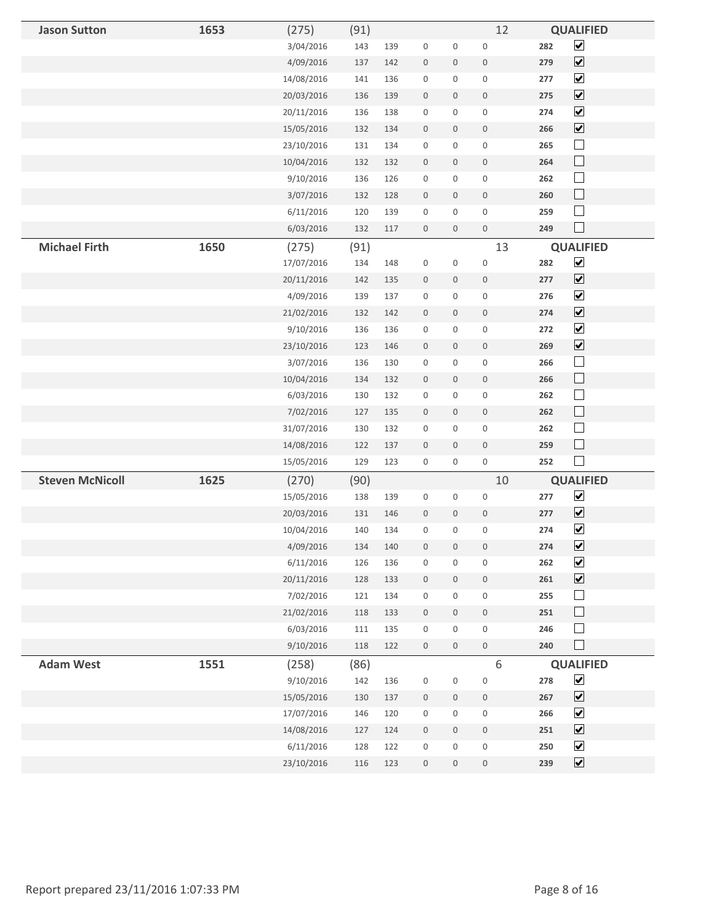| <b>Jason Sutton</b>    | 1653 | (275)      | (91) |     |                     |                     | 12                  | <b>QUALIFIED</b>                    |
|------------------------|------|------------|------|-----|---------------------|---------------------|---------------------|-------------------------------------|
|                        |      | 3/04/2016  | 143  | 139 | $\boldsymbol{0}$    | $\boldsymbol{0}$    | $\boldsymbol{0}$    | $\blacktriangledown$<br>282         |
|                        |      | 4/09/2016  | 137  | 142 | $\bf 0$             | $\boldsymbol{0}$    | $\boldsymbol{0}$    | $\blacktriangledown$<br>279         |
|                        |      | 14/08/2016 | 141  | 136 | $\boldsymbol{0}$    | $\mathbf 0$         | $\boldsymbol{0}$    | $\blacktriangledown$<br>277         |
|                        |      | 20/03/2016 | 136  | 139 | $\bf 0$             | $\mathbf 0$         | $\mathsf{O}\xspace$ | $\blacktriangledown$<br>275         |
|                        |      | 20/11/2016 | 136  | 138 | $\boldsymbol{0}$    | $\boldsymbol{0}$    | $\mathbf 0$         | $\blacktriangledown$<br>274         |
|                        |      | 15/05/2016 | 132  | 134 | $\bf 0$             | $\mathbf 0$         | $\mathsf{O}\xspace$ | $\blacktriangledown$<br>266         |
|                        |      | 23/10/2016 | 131  | 134 | $\boldsymbol{0}$    | $\mathbf 0$         | $\boldsymbol{0}$    | $\Box$<br>265                       |
|                        |      | 10/04/2016 | 132  | 132 | $\bf 0$             | $\mathbf 0$         | $\boldsymbol{0}$    | $\Box$<br>264                       |
|                        |      | 9/10/2016  | 136  | 126 | $\boldsymbol{0}$    | $\boldsymbol{0}$    | $\mathbf 0$         | $\Box$<br>262                       |
|                        |      | 3/07/2016  | 132  | 128 | $\mathbf 0$         | $\mathbf 0$         | $\boldsymbol{0}$    | $\Box$<br>260                       |
|                        |      | 6/11/2016  | 120  | 139 | $\boldsymbol{0}$    | $\mathbf 0$         | $\boldsymbol{0}$    | $\Box$<br>259                       |
|                        |      | 6/03/2016  | 132  | 117 | $\mathbf 0$         | $\mathbf 0$         | $\boldsymbol{0}$    | $\Box$<br>249                       |
| <b>Michael Firth</b>   | 1650 | (275)      | (91) |     |                     |                     | 13                  | <b>QUALIFIED</b>                    |
|                        |      | 17/07/2016 | 134  | 148 | $\boldsymbol{0}$    | $\boldsymbol{0}$    | $\mathbf 0$         | $\blacktriangledown$<br>282         |
|                        |      | 20/11/2016 | 142  | 135 | $\boldsymbol{0}$    | $\boldsymbol{0}$    | $\boldsymbol{0}$    | $\blacktriangledown$<br>277         |
|                        |      | 4/09/2016  | 139  | 137 | $\boldsymbol{0}$    | $\mathbf 0$         | $\boldsymbol{0}$    | $\blacktriangledown$<br>276         |
|                        |      | 21/02/2016 | 132  | 142 | $\mathbf 0$         | $\mathbf 0$         | $\boldsymbol{0}$    | $\blacktriangledown$<br>274         |
|                        |      | 9/10/2016  | 136  | 136 | $\boldsymbol{0}$    | $\boldsymbol{0}$    | $\boldsymbol{0}$    | $\blacktriangledown$<br>272         |
|                        |      | 23/10/2016 | 123  | 146 | $\mathbf 0$         | $\boldsymbol{0}$    | $\boldsymbol{0}$    | $\overline{\mathbf{v}}$<br>269      |
|                        |      | 3/07/2016  | 136  | 130 | $\boldsymbol{0}$    | $\mathbf 0$         | $\boldsymbol{0}$    | $\Box$<br>266                       |
|                        |      | 10/04/2016 | 134  | 132 | $\bf 0$             | $\mathbf 0$         | $\boldsymbol{0}$    | $\Box$<br>266                       |
|                        |      | 6/03/2016  | 130  | 132 | $\boldsymbol{0}$    | $\boldsymbol{0}$    | $\boldsymbol{0}$    | $\Box$<br>262                       |
|                        |      | 7/02/2016  | 127  | 135 | $\mathbf 0$         | $\boldsymbol{0}$    | $\boldsymbol{0}$    | $\Box$<br>262                       |
|                        |      | 31/07/2016 | 130  | 132 | $\boldsymbol{0}$    | $\mathbf 0$         | $\boldsymbol{0}$    | $\Box$<br>262                       |
|                        |      | 14/08/2016 | 122  | 137 | $\bf 0$             | $\mathbf 0$         | $\,0\,$             | $\Box$<br>259                       |
|                        |      | 15/05/2016 | 129  | 123 | $\boldsymbol{0}$    | $\boldsymbol{0}$    | $\boldsymbol{0}$    | $\Box$<br>252                       |
| <b>Steven McNicoll</b> | 1625 | (270)      | (90) |     |                     |                     | 10                  | <b>QUALIFIED</b>                    |
|                        |      | 15/05/2016 | 138  | 139 | $\boldsymbol{0}$    | $\boldsymbol{0}$    | $\boldsymbol{0}$    | $\blacktriangledown$<br>277         |
|                        |      | 20/03/2016 | 131  | 146 | $\bf 0$             | $\boldsymbol{0}$    | $\mathsf{O}\xspace$ | $\blacktriangledown$<br>277         |
|                        |      | 10/04/2016 | 140  | 134 | $\boldsymbol{0}$    | $\mathbf 0$         | $\,0\,$             | $\overline{\mathbf{v}}$<br>274      |
|                        |      | 4/09/2016  | 134  | 140 | $\boldsymbol{0}$    | $\boldsymbol{0}$    | $\,0\,$             | $\blacktriangledown$<br>274         |
|                        |      | 6/11/2016  | 126  | 136 | $\bf 0$             | $\boldsymbol{0}$    | $\mathbf 0$         | $\overline{\mathbf{v}}$<br>262      |
|                        |      | 20/11/2016 | 128  | 133 | $\mathbf 0$         | $\mathbf 0$         | $\boldsymbol{0}$    | $\overline{\mathbf{v}}$<br>261      |
|                        |      | 7/02/2016  | 121  | 134 | $\mathsf{O}\xspace$ | $\mathbf 0$         | $\boldsymbol{0}$    | $\Box$<br>255                       |
|                        |      | 21/02/2016 | 118  | 133 | $\bf 0$             | $\mathbf 0$         | $\,0\,$             | $\Box$<br>251                       |
|                        |      | 6/03/2016  | 111  | 135 | $\boldsymbol{0}$    | $\mathbf 0$         | $\boldsymbol{0}$    | $\Box$<br>246                       |
|                        |      | 9/10/2016  | 118  | 122 | $\boldsymbol{0}$    | $\mathbf 0$         | $\mathsf{O}\xspace$ | $\Box$<br>240                       |
| <b>Adam West</b>       | 1551 | (258)      | (86) |     |                     |                     | $\,6\,$             | <b>QUALIFIED</b>                    |
|                        |      | 9/10/2016  | 142  | 136 | $\boldsymbol{0}$    | $\boldsymbol{0}$    | $\mathbf 0$         | $\blacktriangledown$<br>278         |
|                        |      | 15/05/2016 | 130  | 137 | $\boldsymbol{0}$    | $\mathbf 0$         | $\,0\,$             | $\overline{\mathbf{v}}$<br>267      |
|                        |      | 17/07/2016 | 146  | 120 | $\boldsymbol{0}$    | $\mathbf 0$         | $\boldsymbol{0}$    | $\overline{\mathbf{v}}$<br>266      |
|                        |      | 14/08/2016 | 127  | 124 | $\boldsymbol{0}$    | $\mathbf 0$         | $\mathbf 0$         | $\boxed{\blacktriangledown}$<br>251 |
|                        |      | 6/11/2016  | 128  | 122 | $\boldsymbol{0}$    | $\mathbf 0$         | $\boldsymbol{0}$    | $\blacktriangledown$<br>250         |
|                        |      | 23/10/2016 | 116  | 123 | $\,0\,$             | $\mathsf{O}\xspace$ | $\,0\,$             | $\blacktriangledown$<br>239         |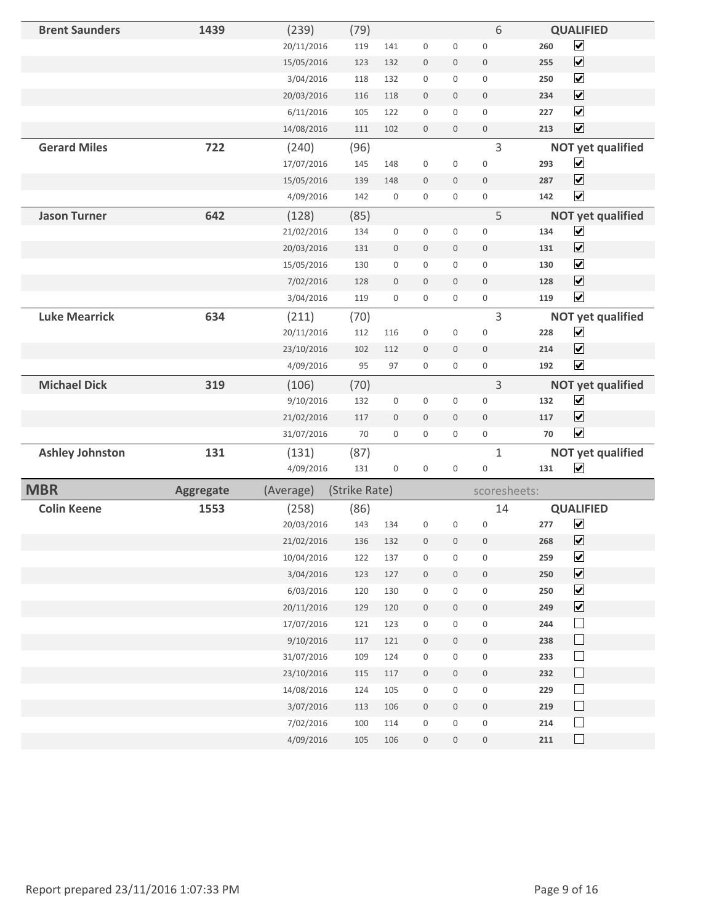| <b>Brent Saunders</b>  | 1439             | (239)      | (79)          |                  |                     |                  | 6                |     | <b>QUALIFIED</b>         |
|------------------------|------------------|------------|---------------|------------------|---------------------|------------------|------------------|-----|--------------------------|
|                        |                  | 20/11/2016 | 119           | 141              | $\mathbf 0$         | 0                | $\mathbf 0$      | 260 | $\overline{\mathbf{v}}$  |
|                        |                  | 15/05/2016 | 123           | 132              | $\boldsymbol{0}$    | $\mathbf 0$      | $\boldsymbol{0}$ | 255 | $\blacktriangledown$     |
|                        |                  | 3/04/2016  | 118           | 132              | $\boldsymbol{0}$    | $\mathsf 0$      | $\boldsymbol{0}$ | 250 | $\blacktriangledown$     |
|                        |                  | 20/03/2016 | 116           | 118              | $\boldsymbol{0}$    | $\mathbf 0$      | $\boldsymbol{0}$ | 234 | $\overline{\mathbf{v}}$  |
|                        |                  | 6/11/2016  | 105           | 122              | $\boldsymbol{0}$    | $\mathbf{0}$     | $\mathbf{0}$     | 227 | $\blacktriangledown$     |
|                        |                  | 14/08/2016 | 111           | 102              | $\mathbf 0$         | $\mathbf 0$      | $\mathbf 0$      | 213 | $\overline{\mathbf{v}}$  |
| <b>Gerard Miles</b>    | 722              | (240)      | (96)          |                  |                     |                  | 3                |     | <b>NOT yet qualified</b> |
|                        |                  | 17/07/2016 | 145           | 148              | $\boldsymbol{0}$    | 0                | $\boldsymbol{0}$ | 293 | $\blacktriangledown$     |
|                        |                  | 15/05/2016 | 139           | 148              | $\mathbf 0$         | $\boldsymbol{0}$ | $\boldsymbol{0}$ | 287 | $\overline{\mathbf{v}}$  |
|                        |                  | 4/09/2016  | 142           | $\boldsymbol{0}$ | 0                   | 0                | $\mathbf 0$      | 142 | $\blacktriangledown$     |
| <b>Jason Turner</b>    | 642              | (128)      | (85)          |                  |                     |                  | 5                |     | <b>NOT yet qualified</b> |
|                        |                  | 21/02/2016 | 134           | $\boldsymbol{0}$ | $\boldsymbol{0}$    | 0                | $\boldsymbol{0}$ | 134 | $\blacktriangledown$     |
|                        |                  | 20/03/2016 | 131           | $\boldsymbol{0}$ | $\boldsymbol{0}$    | $\mathbf 0$      | $\mathbf 0$      | 131 | $\blacktriangledown$     |
|                        |                  | 15/05/2016 | 130           | $\boldsymbol{0}$ | $\boldsymbol{0}$    | $\mathbf{0}$     | $\mathbf 0$      | 130 | $\blacktriangledown$     |
|                        |                  | 7/02/2016  | 128           | $\mathbf 0$      | $\boldsymbol{0}$    | $\overline{0}$   | $\mathbf 0$      | 128 | $\blacktriangledown$     |
|                        |                  | 3/04/2016  | 119           | $\boldsymbol{0}$ | $\boldsymbol{0}$    | 0                | $\boldsymbol{0}$ | 119 | $\overline{\mathbf{v}}$  |
| <b>Luke Mearrick</b>   | 634              | (211)      | (70)          |                  |                     |                  | 3                |     | <b>NOT yet qualified</b> |
|                        |                  | 20/11/2016 | 112           | 116              | $\boldsymbol{0}$    | $\boldsymbol{0}$ | $\boldsymbol{0}$ | 228 | $\overline{\mathbf{v}}$  |
|                        |                  | 23/10/2016 | 102           | 112              | $\mathbf{0}$        | $\mathbf 0$      | $\boldsymbol{0}$ | 214 | $\blacktriangledown$     |
|                        |                  | 4/09/2016  | 95            | 97               | $\mathbf 0$         | 0                | $\mathbf 0$      | 192 | $\overline{\mathbf{v}}$  |
| <b>Michael Dick</b>    | 319              | (106)      | (70)          |                  |                     |                  | 3                |     | <b>NOT yet qualified</b> |
|                        |                  | 9/10/2016  | 132           | $\boldsymbol{0}$ | $\boldsymbol{0}$    | $\boldsymbol{0}$ | $\mathbf 0$      | 132 | $\blacktriangledown$     |
|                        |                  | 21/02/2016 | 117           | $\boldsymbol{0}$ | $\boldsymbol{0}$    | $\mathbf 0$      | $\mathbf 0$      | 117 | $\overline{\mathbf{v}}$  |
|                        |                  | 31/07/2016 | 70            | $\boldsymbol{0}$ | $\mathbf 0$         | 0                | $\mathbf 0$      | 70  | $\blacktriangledown$     |
| <b>Ashley Johnston</b> | 131              | (131)      | (87)          |                  |                     |                  | $\mathbf{1}$     |     | <b>NOT yet qualified</b> |
|                        |                  | 4/09/2016  | 131           | $\boldsymbol{0}$ | $\boldsymbol{0}$    | $\mathsf 0$      | $\boldsymbol{0}$ | 131 | $\blacktriangledown$     |
| <b>MBR</b>             | <b>Aggregate</b> | (Average)  | (Strike Rate) |                  |                     |                  | scoresheets:     |     |                          |
| <b>Colin Keene</b>     | 1553             | (258)      | (86)          |                  |                     |                  | 14               |     | <b>QUALIFIED</b>         |
|                        |                  | 20/03/2016 | 143           | 134              | $\mathbf 0$         | $\mathsf 0$      | $\mathbf 0$      | 277 | $\blacktriangledown$     |
|                        |                  | 21/02/2016 | 136           | 132              | $\overline{0}$      | $\overline{0}$   | $\mathbf 0$      | 268 | $\overline{\mathbf{v}}$  |
|                        |                  | 10/04/2016 | 122           | 137              | $\boldsymbol{0}$    | 0                | 0                | 259 | $\overline{\mathbf{v}}$  |
|                        |                  | 3/04/2016  | 123           | 127              | $\,0\,$             | $\mathbf 0$      | $\,0\,$          | 250 | $\overline{\mathbf{v}}$  |
|                        |                  | 6/03/2016  | 120           | 130              | $\boldsymbol{0}$    | 0                | $\boldsymbol{0}$ | 250 | $\overline{\mathbf{v}}$  |
|                        |                  | 20/11/2016 | 129           | 120              | $\boldsymbol{0}$    | 0                | $\boldsymbol{0}$ | 249 | $\overline{\mathbf{v}}$  |
|                        |                  | 17/07/2016 | 121           | 123              | $\boldsymbol{0}$    | $\boldsymbol{0}$ | $\boldsymbol{0}$ | 244 | $\Box$                   |
|                        |                  | 9/10/2016  | 117           | 121              | $\boldsymbol{0}$    | 0                | $\mathbf 0$      | 238 | $\Box$                   |
|                        |                  | 31/07/2016 | 109           | 124              | $\boldsymbol{0}$    | 0                | $\boldsymbol{0}$ | 233 | $\Box$                   |
|                        |                  | 23/10/2016 | 115           | 117              | $\boldsymbol{0}$    | $\mathbf 0$      | $\mathsf{O}$     | 232 | $\Box$                   |
|                        |                  | 14/08/2016 | 124           | 105              | 0                   | 0                | $\boldsymbol{0}$ | 229 | $\Box$                   |
|                        |                  | 3/07/2016  | 113           | 106              | $\boldsymbol{0}$    | $\mathbf 0$      | $\mathsf{O}$     | 219 | $\Box$                   |
|                        |                  | 7/02/2016  | 100           | 114              | $\mathsf{O}\xspace$ | 0                | $\boldsymbol{0}$ | 214 | $\Box$                   |
|                        |                  | 4/09/2016  | 105           | 106              | $\boldsymbol{0}$    | $\boldsymbol{0}$ | $\boldsymbol{0}$ | 211 | $\Box$                   |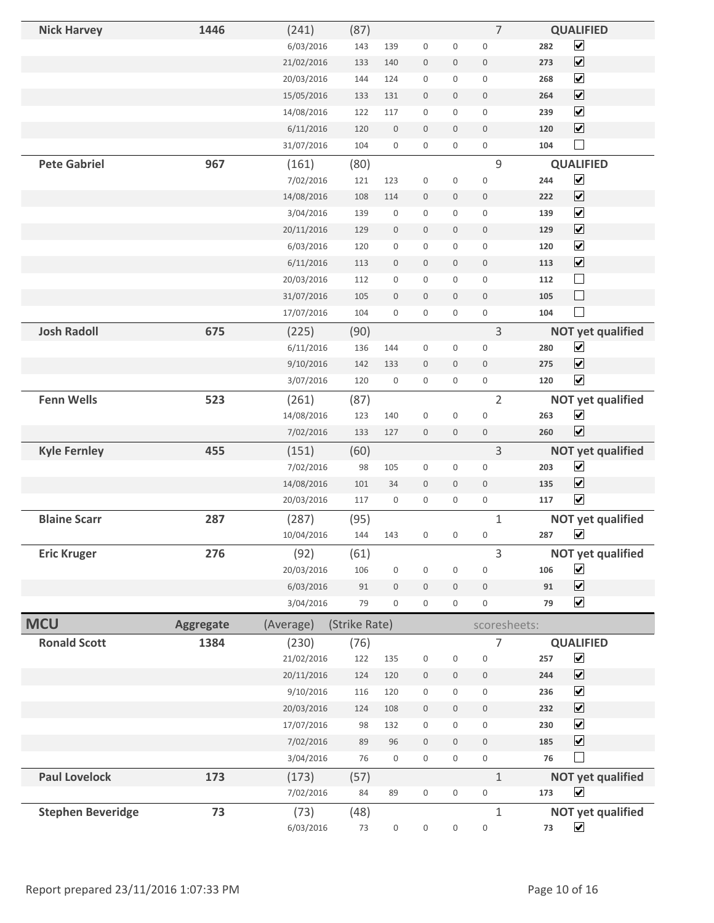| <b>Nick Harvey</b>       | 1446             | (241)      | (87)          |                  |                     |                     | $\overline{7}$      |     | <b>QUALIFIED</b>             |
|--------------------------|------------------|------------|---------------|------------------|---------------------|---------------------|---------------------|-----|------------------------------|
|                          |                  | 6/03/2016  | 143           | 139              | $\boldsymbol{0}$    | $\boldsymbol{0}$    | $\bf 0$             | 282 | $\overline{\mathbf{v}}$      |
|                          |                  | 21/02/2016 | 133           | 140              | $\boldsymbol{0}$    | $\mathsf{O}\xspace$ | $\mathbb O$         | 273 | $\overline{\mathbf{v}}$      |
|                          |                  | 20/03/2016 | 144           | 124              | $\boldsymbol{0}$    | $\mathbf 0$         | $\boldsymbol{0}$    | 268 | $\blacktriangledown$         |
|                          |                  | 15/05/2016 | 133           | 131              | $\bf 0$             | $\mathbf 0$         | $\mathbf{0}$        | 264 | $\overline{\mathbf{v}}$      |
|                          |                  | 14/08/2016 | 122           | 117              | $\boldsymbol{0}$    | $\mathbf 0$         | $\overline{0}$      | 239 | $\blacktriangledown$         |
|                          |                  | 6/11/2016  | 120           | $\boldsymbol{0}$ | $\boldsymbol{0}$    | $\mathbf 0$         | $\mathbf 0$         | 120 | $\blacktriangledown$         |
|                          |                  | 31/07/2016 | 104           | $\boldsymbol{0}$ | $\boldsymbol{0}$    | $\mathbf 0$         | $\boldsymbol{0}$    | 104 | $\Box$                       |
| <b>Pete Gabriel</b>      | 967              | (161)      | (80)          |                  |                     |                     | 9                   |     | <b>QUALIFIED</b>             |
|                          |                  | 7/02/2016  | 121           | 123              | $\boldsymbol{0}$    | $\boldsymbol{0}$    | $\bf 0$             | 244 | $\overline{\mathbf{v}}$      |
|                          |                  | 14/08/2016 | 108           | 114              | $\boldsymbol{0}$    | $\mathsf{O}\xspace$ | $\mathbf 0$         | 222 | $\overline{\mathbf{v}}$      |
|                          |                  | 3/04/2016  | 139           | $\boldsymbol{0}$ | $\boldsymbol{0}$    | $\mathsf{O}\xspace$ | $\mathbf 0$         | 139 | $\overline{\mathbf{v}}$      |
|                          |                  | 20/11/2016 | 129           | $\mathbf 0$      | $\boldsymbol{0}$    | $\mathsf{O}\xspace$ | $\boldsymbol{0}$    | 129 | $\overline{\mathbf{v}}$      |
|                          |                  | 6/03/2016  | 120           | $\boldsymbol{0}$ | $\boldsymbol{0}$    | 0                   | $\mathbf 0$         | 120 | $\blacktriangledown$         |
|                          |                  | 6/11/2016  | 113           | $\mathbf 0$      | $\boldsymbol{0}$    | $\mathbf 0$         | $\mathbf{0}$        | 113 | $\overline{\mathbf{v}}$      |
|                          |                  | 20/03/2016 | 112           | $\boldsymbol{0}$ | $\boldsymbol{0}$    | 0                   | $\mathsf{O}\xspace$ | 112 | $\Box$                       |
|                          |                  | 31/07/2016 | 105           | $\boldsymbol{0}$ | $\mathbf 0$         | $\mathbf 0$         | $\mathbf 0$         | 105 | $\Box$                       |
|                          |                  | 17/07/2016 | 104           | $\boldsymbol{0}$ | $\boldsymbol{0}$    | $\boldsymbol{0}$    | $\boldsymbol{0}$    | 104 | $\Box$                       |
| <b>Josh Radoll</b>       | 675              | (225)      | (90)          |                  |                     |                     | 3                   |     | <b>NOT yet qualified</b>     |
|                          |                  | 6/11/2016  | 136           | 144              | $\boldsymbol{0}$    | $\boldsymbol{0}$    | $\boldsymbol{0}$    | 280 | $\blacktriangledown$         |
|                          |                  | 9/10/2016  | 142           | 133              | $\mathbf{0}$        | $\mathbf 0$         | $\mathbf 0$         | 275 | $\overline{\mathbf{v}}$      |
|                          |                  | 3/07/2016  | 120           | $\boldsymbol{0}$ | $\boldsymbol{0}$    | $\mathbf 0$         | $\boldsymbol{0}$    | 120 | $\overline{\mathbf{v}}$      |
| <b>Fenn Wells</b>        | 523              | (261)      | (87)          |                  |                     |                     | $\overline{2}$      |     | <b>NOT yet qualified</b>     |
|                          |                  | 14/08/2016 | 123           | 140              | $\boldsymbol{0}$    | $\boldsymbol{0}$    | $\boldsymbol{0}$    | 263 | $\blacktriangledown$         |
|                          |                  | 7/02/2016  | 133           | 127              | $\boldsymbol{0}$    | $\mathbf 0$         | $\boldsymbol{0}$    | 260 | $\blacktriangledown$         |
| <b>Kyle Fernley</b>      | 455              | (151)      | (60)          |                  |                     |                     | 3                   |     | <b>NOT yet qualified</b>     |
|                          |                  | 7/02/2016  | 98            | 105              | $\boldsymbol{0}$    | $\boldsymbol{0}$    | $\mathsf{O}\xspace$ | 203 | $\blacktriangledown$         |
|                          |                  | 14/08/2016 | 101           | 34               | $\bf 0$             | $\mathbf 0$         | $\mathbf 0$         | 135 | $\blacktriangledown$         |
|                          |                  | 20/03/2016 | 117           | $\boldsymbol{0}$ | $\boldsymbol{0}$    | $\mathbf 0$         | $\boldsymbol{0}$    | 117 | $\blacktriangledown$         |
| <b>Blaine Scarr</b>      | 287              | (287)      | (95)          |                  |                     |                     | $\mathbf{1}$        |     | <b>NOT yet qualified</b>     |
|                          |                  | 10/04/2016 | 144           | 143              | $\boldsymbol{0}$    | $\boldsymbol{0}$    | $\boldsymbol{0}$    | 287 | $\blacktriangledown$         |
| <b>Eric Kruger</b>       | 276              | (92)       | (61)          |                  |                     |                     | 3                   |     | <b>NOT yet qualified</b>     |
|                          |                  | 20/03/2016 | 106           | $\boldsymbol{0}$ | $\boldsymbol{0}$    | $\boldsymbol{0}$    | $\bf 0$             | 106 | $\overline{\mathbf{v}}$      |
|                          |                  | 6/03/2016  | 91            | $\boldsymbol{0}$ | $\boldsymbol{0}$    | $\mathsf{O}\xspace$ | $\boldsymbol{0}$    | 91  | $\overline{\mathbf{v}}$      |
|                          |                  | 3/04/2016  | 79            | $\boldsymbol{0}$ | $\boldsymbol{0}$    | 0                   | $\boldsymbol{0}$    | 79  | $\blacktriangledown$         |
| <b>MCU</b>               | <b>Aggregate</b> | (Average)  | (Strike Rate) |                  |                     |                     | scoresheets:        |     |                              |
| <b>Ronald Scott</b>      | 1384             | (230)      | (76)          |                  |                     |                     | 7                   |     | <b>QUALIFIED</b>             |
|                          |                  | 21/02/2016 | 122           | 135              | $\boldsymbol{0}$    | $\boldsymbol{0}$    | $\boldsymbol{0}$    | 257 | $\blacktriangledown$         |
|                          |                  | 20/11/2016 | 124           | 120              | $\,0\,$             | $\mathbf 0$         | $\mathbf 0$         | 244 | $\blacktriangledown$         |
|                          |                  | 9/10/2016  | 116           | 120              | $\boldsymbol{0}$    | 0                   | $\mathsf{O}\xspace$ | 236 | $\overline{\mathbf{v}}$      |
|                          |                  | 20/03/2016 | 124           | 108              | $\boldsymbol{0}$    | $\mathbf 0$         | $\boldsymbol{0}$    | 232 | $\boxed{\blacktriangledown}$ |
|                          |                  | 17/07/2016 | 98            | 132              | $\boldsymbol{0}$    | $\boldsymbol{0}$    | $\boldsymbol{0}$    | 230 | $\overline{\mathbf{v}}$      |
|                          |                  | 7/02/2016  | 89            | 96               | $\boldsymbol{0}$    | $\mathbf 0$         | $\boldsymbol{0}$    | 185 | $\overline{\mathbf{v}}$      |
|                          |                  | 3/04/2016  | 76            | $\boldsymbol{0}$ | $\boldsymbol{0}$    | $\mathsf{O}\xspace$ | $\boldsymbol{0}$    | 76  |                              |
| <b>Paul Lovelock</b>     | 173              | (173)      | (57)          |                  |                     |                     | $\mathbf{1}$        |     | <b>NOT yet qualified</b>     |
|                          |                  | 7/02/2016  | 84            | 89               | $\mathsf{O}\xspace$ | $\boldsymbol{0}$    | $\boldsymbol{0}$    | 173 | $\blacktriangledown$         |
| <b>Stephen Beveridge</b> | 73               | (73)       | (48)          |                  |                     |                     | $\mathbf{1}$        |     | <b>NOT yet qualified</b>     |
|                          |                  | 6/03/2016  | 73            | $\boldsymbol{0}$ | $\boldsymbol{0}$    | $\boldsymbol{0}$    | $\boldsymbol{0}$    | 73  | $\blacktriangledown$         |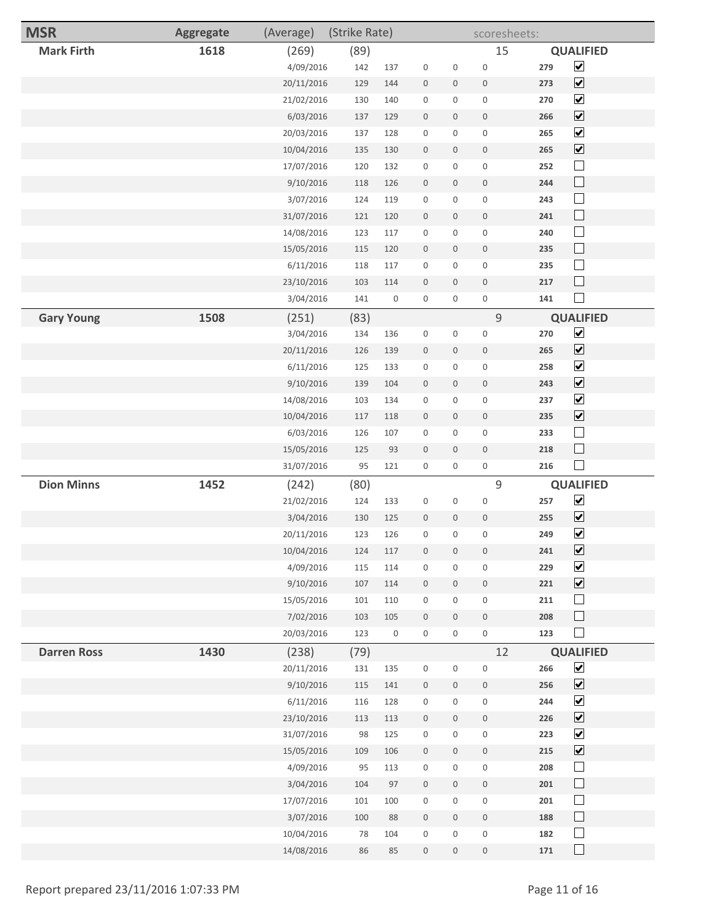| <b>MSR</b>         | <b>Aggregate</b> | (Average)  | (Strike Rate) |                     |                     |                     | scoresheets:        |     |                             |
|--------------------|------------------|------------|---------------|---------------------|---------------------|---------------------|---------------------|-----|-----------------------------|
| <b>Mark Firth</b>  | 1618             | (269)      | (89)          |                     |                     |                     | 15                  |     | <b>QUALIFIED</b>            |
|                    |                  | 4/09/2016  | 142           | 137                 | $\boldsymbol{0}$    | $\boldsymbol{0}$    | $\mathbf 0$         | 279 | $\blacktriangledown$        |
|                    |                  | 20/11/2016 | 129           | 144                 | $\boldsymbol{0}$    | $\mathbf 0$         | $\mathbf 0$         | 273 | $\blacktriangledown$        |
|                    |                  | 21/02/2016 | 130           | 140                 | $\boldsymbol{0}$    | 0                   | $\boldsymbol{0}$    | 270 | $\blacktriangledown$        |
|                    |                  | 6/03/2016  | 137           | 129                 | $\boldsymbol{0}$    | 0                   | $\bf 0$             | 266 | $\blacktriangledown$        |
|                    |                  | 20/03/2016 | 137           | 128                 | $\boldsymbol{0}$    | $\boldsymbol{0}$    | $\boldsymbol{0}$    | 265 | $\blacktriangledown$        |
|                    |                  | 10/04/2016 | 135           | 130                 | $\mathbf 0$         | 0                   | $\boldsymbol{0}$    | 265 | $\overline{\mathbf{v}}$     |
|                    |                  | 17/07/2016 | 120           | 132                 | $\boldsymbol{0}$    | 0                   | $\boldsymbol{0}$    | 252 | $\Box$                      |
|                    |                  | 9/10/2016  | 118           | 126                 | $\boldsymbol{0}$    | 0                   | $\boldsymbol{0}$    | 244 | $\Box$                      |
|                    |                  | 3/07/2016  | 124           | 119                 | $\boldsymbol{0}$    | 0                   | $\boldsymbol{0}$    | 243 | $\Box$                      |
|                    |                  | 31/07/2016 | 121           | 120                 | $\mathbf 0$         | $\mathbf 0$         | $\bf 0$             | 241 | $\Box$                      |
|                    |                  | 14/08/2016 | 123           | 117                 | $\boldsymbol{0}$    | $\mathbf 0$         | $\boldsymbol{0}$    | 240 | $\Box$                      |
|                    |                  | 15/05/2016 | 115           | 120                 | $\boldsymbol{0}$    | $\boldsymbol{0}$    | $\mathbf 0$         | 235 | $\Box$                      |
|                    |                  | 6/11/2016  | 118           | 117                 | $\boldsymbol{0}$    | $\mathsf{O}\xspace$ | $\boldsymbol{0}$    | 235 | $\mathcal{L}_{\mathcal{A}}$ |
|                    |                  | 23/10/2016 | 103           | 114                 | $\mathbf 0$         | 0                   | $\mathbf 0$         | 217 | $\Box$                      |
|                    |                  | 3/04/2016  | 141           | 0                   | $\boldsymbol{0}$    | 0                   | $\mathsf{O}\xspace$ | 141 |                             |
| <b>Gary Young</b>  | 1508             | (251)      | (83)          |                     |                     |                     | $\mathsf 9$         |     | <b>QUALIFIED</b>            |
|                    |                  | 3/04/2016  | 134           | 136                 | $\mathbb O$         | 0                   | $\boldsymbol{0}$    | 270 | $\blacktriangledown$        |
|                    |                  | 20/11/2016 | 126           | 139                 | $\mathbf 0$         | 0                   | $\mathbf 0$         | 265 | $\overline{\mathbf{v}}$     |
|                    |                  | 6/11/2016  | 125           | 133                 | $\boldsymbol{0}$    | $\mathbf 0$         | $\boldsymbol{0}$    | 258 | $\overline{\mathbf{v}}$     |
|                    |                  | 9/10/2016  | 139           | 104                 | $\boldsymbol{0}$    | $\mathsf{O}\xspace$ | $\bf 0$             | 243 | $\overline{\mathbf{v}}$     |
|                    |                  | 14/08/2016 | 103           | 134                 | $\boldsymbol{0}$    | 0                   | $\boldsymbol{0}$    | 237 | $\overline{\mathbf{v}}$     |
|                    |                  | 10/04/2016 | 117           | 118                 | $\boldsymbol{0}$    | $\boldsymbol{0}$    | $\mathbf 0$         | 235 | $\overline{\mathbf{v}}$     |
|                    |                  | 6/03/2016  | 126           | 107                 | $\boldsymbol{0}$    | $\boldsymbol{0}$    | $\boldsymbol{0}$    | 233 | $\Box$                      |
|                    |                  | 15/05/2016 | 125           | 93                  | $\boldsymbol{0}$    | $\mathbf 0$         | $\mathbf 0$         | 218 | $\Box$                      |
|                    |                  | 31/07/2016 | 95            | 121                 | $\mathbf 0$         | 0                   | $\mathsf{O}\xspace$ | 216 | $\mathcal{L}_{\mathcal{A}}$ |
| <b>Dion Minns</b>  | 1452             | (242)      | (80)          |                     |                     |                     | $\mathsf 9$         |     | <b>QUALIFIED</b>            |
|                    |                  | 21/02/2016 | 124           | 133                 | $\boldsymbol{0}$    | $\boldsymbol{0}$    | $\boldsymbol{0}$    | 257 | $\blacktriangledown$        |
|                    |                  | 3/04/2016  | 130           | 125                 | $\boldsymbol{0}$    | 0                   | $\bf 0$             | 255 | $\overline{\mathbf{v}}$     |
|                    |                  | 20/11/2016 | 123           | 126                 | $\boldsymbol{0}$    | $\mathbf 0$         | $\boldsymbol{0}$    | 249 | $\overline{\mathbf{v}}$     |
|                    |                  | 10/04/2016 | 124           | $117\,$             | $\mathbb O$         | $\boldsymbol{0}$    | $\boldsymbol{0}$    | 241 | $\overline{\mathbf{v}}$     |
|                    |                  | 4/09/2016  | 115           | 114                 | $\mathbf 0$         | 0                   | $\mathbf 0$         | 229 | $\overline{\mathbf{v}}$     |
|                    |                  | 9/10/2016  | $107\,$       | 114                 | $\boldsymbol{0}$    | $\mathsf{O}\xspace$ | $\,0\,$             | 221 | $\overline{\mathbf{v}}$     |
|                    |                  | 15/05/2016 | 101           | 110                 | $\,0\,$             | $\mathbf 0$         | $\boldsymbol{0}$    | 211 | $\Box$                      |
|                    |                  | 7/02/2016  | 103           | 105                 | $\mathbb O$         | $\mathsf{O}\xspace$ | $\boldsymbol{0}$    | 208 | $\Box$                      |
|                    |                  | 20/03/2016 | 123           | $\mathsf{O}\xspace$ | $\mathsf{O}\xspace$ | $\mathsf{O}\xspace$ | $\mathsf{O}\xspace$ | 123 | $\mathcal{L}_{\mathcal{A}}$ |
| <b>Darren Ross</b> | 1430             | (238)      | (79)          |                     |                     |                     | 12                  |     | <b>QUALIFIED</b>            |
|                    |                  | 20/11/2016 | 131           | 135                 | $\boldsymbol{0}$    | $\mathbf 0$         | $\boldsymbol{0}$    | 266 | $\blacktriangledown$        |
|                    |                  | 9/10/2016  | 115           | 141                 | $\mathbb O$         | $\mathbf 0$         | $\boldsymbol{0}$    | 256 | $\blacktriangledown$        |
|                    |                  | 6/11/2016  | 116           | 128                 | $\boldsymbol{0}$    | 0                   | $\boldsymbol{0}$    | 244 | $\blacktriangledown$        |
|                    |                  | 23/10/2016 | 113           | 113                 | $\boldsymbol{0}$    | $\mathsf{O}\xspace$ | $\,0\,$             | 226 | $\blacktriangledown$        |
|                    |                  | 31/07/2016 | 98            | 125                 | $\boldsymbol{0}$    | 0                   | $\boldsymbol{0}$    | 223 | $\overline{\mathbf{v}}$     |
|                    |                  | 15/05/2016 | 109           | 106                 | $\boldsymbol{0}$    | $\mathbf 0$         | $\boldsymbol{0}$    | 215 | $\blacktriangledown$        |
|                    |                  | 4/09/2016  | 95            | 113                 | $\boldsymbol{0}$    | $\mathbf 0$         | $\boldsymbol{0}$    | 208 | $\Box$                      |
|                    |                  | 3/04/2016  | 104           | 97                  | $\mathbb O$         | $\mathsf{O}\xspace$ | $\boldsymbol{0}$    | 201 | $\Box$                      |
|                    |                  | 17/07/2016 | 101           | 100                 | $\boldsymbol{0}$    | $\mathbf 0$         | $\boldsymbol{0}$    | 201 | $\Box$                      |
|                    |                  | 3/07/2016  | 100           | 88                  | $\mathbf 0$         | $\mathbf 0$         | $\mathsf{O}\xspace$ | 188 | $\Box$                      |
|                    |                  | 10/04/2016 | 78            | 104                 | $\boldsymbol{0}$    | $\mathbf 0$         | $\boldsymbol{0}$    | 182 | $\mathcal{L}_{\mathcal{A}}$ |
|                    |                  | 14/08/2016 | 86            | 85                  | $\boldsymbol{0}$    | $\mathbf 0$         | $\,0\,$             | 171 | $\Box$                      |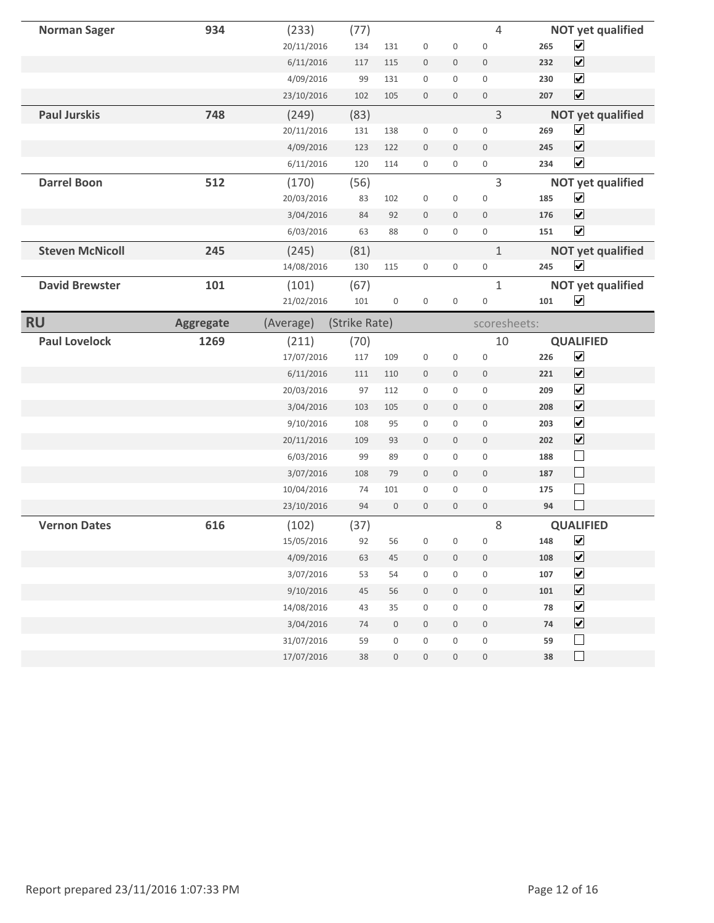| <b>Norman Sager</b>    | 934              | (233)                    | (77)          |                                      |                             |                       | $\overline{4}$   |            | <b>NOT yet qualified</b> |
|------------------------|------------------|--------------------------|---------------|--------------------------------------|-----------------------------|-----------------------|------------------|------------|--------------------------|
|                        |                  | 20/11/2016               | 134           | 131                                  | $\boldsymbol{0}$            | $\boldsymbol{0}$      | $\boldsymbol{0}$ | 265        | $\blacktriangledown$     |
|                        |                  | 6/11/2016                | 117           | 115                                  | $\boldsymbol{0}$            | $\boldsymbol{0}$      | $\boldsymbol{0}$ | 232        | $\blacktriangledown$     |
|                        |                  | 4/09/2016                | 99            | 131                                  | $\boldsymbol{0}$            | $\mathsf 0$           | $\boldsymbol{0}$ | 230        | $\blacktriangledown$     |
|                        |                  | 23/10/2016               | 102           | 105                                  | $\boldsymbol{0}$            | $\mathbf 0$           | $\boldsymbol{0}$ | 207        | $\blacktriangledown$     |
| <b>Paul Jurskis</b>    | 748              | (249)                    | (83)          |                                      |                             |                       | $\overline{3}$   |            | <b>NOT yet qualified</b> |
|                        |                  | 20/11/2016               | 131           | 138                                  | $\boldsymbol{0}$            | 0                     | $\boldsymbol{0}$ | 269        | $\blacktriangledown$     |
|                        |                  | 4/09/2016                | 123           | 122                                  | $\boldsymbol{0}$            | $\mathbf 0$           | $\mathbf 0$      | 245        | $\overline{\mathbf{v}}$  |
|                        |                  | 6/11/2016                | 120           | 114                                  | $\mathsf{O}\xspace$         | 0                     | $\boldsymbol{0}$ | 234        | $\overline{\mathbf{v}}$  |
| <b>Darrel Boon</b>     | 512              | (170)                    | (56)          |                                      |                             |                       | $\overline{3}$   |            | <b>NOT yet qualified</b> |
|                        |                  | 20/03/2016               | 83            | 102                                  | $\boldsymbol{0}$            | $\boldsymbol{0}$      | $\boldsymbol{0}$ | 185        | $\blacktriangledown$     |
|                        |                  | 3/04/2016                | 84            | 92                                   | $\boldsymbol{0}$            | $\boldsymbol{0}$      | $\boldsymbol{0}$ | 176        | $\overline{\mathbf{v}}$  |
|                        |                  | 6/03/2016                | 63            | 88                                   | $\boldsymbol{0}$            | 0                     | $\boldsymbol{0}$ | 151        | $\blacktriangledown$     |
| <b>Steven McNicoll</b> | 245              | (245)                    | (81)          |                                      |                             |                       | $\mathbf{1}$     |            | <b>NOT yet qualified</b> |
|                        |                  | 14/08/2016               | 130           | 115                                  | $\boldsymbol{0}$            | 0                     | $\boldsymbol{0}$ | 245        | $\blacktriangledown$     |
| <b>David Brewster</b>  | 101              | (101)                    | (67)          |                                      |                             |                       | $\mathbf{1}$     |            | <b>NOT yet qualified</b> |
|                        |                  | 21/02/2016               | 101           | $\boldsymbol{0}$                     | $\boldsymbol{0}$            | $\boldsymbol{0}$      | $\boldsymbol{0}$ | 101        | $\blacktriangledown$     |
| <b>RU</b>              | <b>Aggregate</b> | (Average)                | (Strike Rate) |                                      |                             |                       | scoresheets:     |            |                          |
|                        |                  |                          |               |                                      |                             |                       |                  |            |                          |
| <b>Paul Lovelock</b>   | 1269             | (211)                    | (70)          |                                      |                             |                       | 10               |            | <b>QUALIFIED</b>         |
|                        |                  | 17/07/2016               | 117           | 109                                  | $\boldsymbol{0}$            | $\boldsymbol{0}$      | $\boldsymbol{0}$ | 226        | $\blacktriangledown$     |
|                        |                  | 6/11/2016                | 111           | 110                                  | $\boldsymbol{0}$            | $\boldsymbol{0}$      | $\boldsymbol{0}$ | 221        | $\blacktriangledown$     |
|                        |                  | 20/03/2016               | 97            | 112                                  | $\mathsf{O}\xspace$         | $\mathbf{0}$          | $\mathbf{0}$     | 209        | $\blacktriangledown$     |
|                        |                  | 3/04/2016                | 103           | 105                                  | $\mathbf 0$                 | $\mathbf 0$           | $\mathbf 0$      | 208        | $\overline{\mathbf{v}}$  |
|                        |                  | 9/10/2016                | 108           | 95                                   | $\mathsf{O}\xspace$         | 0                     | $\boldsymbol{0}$ | 203        | $\blacktriangledown$     |
|                        |                  | 20/11/2016               | 109           | 93                                   | $\boldsymbol{0}$            | $\mathbf 0$           | $\boldsymbol{0}$ | 202        | $\blacktriangledown$     |
|                        |                  | 6/03/2016                | 99            | 89                                   | $\boldsymbol{0}$            | $\boldsymbol{0}$      | $\boldsymbol{0}$ | 188        | $\Box$                   |
|                        |                  | 3/07/2016                | 108           | 79                                   | $\boldsymbol{0}$            | 0                     | $\boldsymbol{0}$ | 187        | $\Box$                   |
|                        |                  | 10/04/2016               | 74            | 101                                  | $\mathsf{O}\xspace$         | 0                     | $\boldsymbol{0}$ | 175        | $\Box$                   |
|                        |                  | 23/10/2016               | 94            | $\mathsf{O}\xspace$                  | $\mathbf 0$                 | $\mathbf 0$           | $\boldsymbol{0}$ | 94         | $\Box$                   |
| <b>Vernon Dates</b>    | 616              | (102)                    | (37)          |                                      |                             |                       | 8                |            | <b>QUALIFIED</b>         |
|                        |                  | 15/05/2016               | 92            | 56                                   | $\overline{0}$              | $\overline{0}$        | $\boldsymbol{0}$ | 148        | $\blacktriangledown$     |
|                        |                  | 4/09/2016                | 63            | $45\,$                               | $\,0\,$                     | 0                     | $\boldsymbol{0}$ | 108        | $\overline{\mathbf{v}}$  |
|                        |                  | 3/07/2016                | 53            | 54                                   | $\,0\,$                     | $\boldsymbol{0}$      | $\boldsymbol{0}$ | 107        | $\overline{\mathbf{v}}$  |
|                        |                  | 9/10/2016                | $45\,$        | 56                                   | $\,0\,$                     | $\boldsymbol{0}$      | $\boldsymbol{0}$ | 101        | $\blacktriangledown$     |
|                        |                  | 14/08/2016               | 43            | 35                                   | $\mathsf{O}\xspace$         | $\boldsymbol{0}$      | $\boldsymbol{0}$ | 78         | $\blacktriangledown$     |
|                        |                  | 3/04/2016                | 74            | $\mathsf{O}\xspace$                  | $\mathsf{O}\xspace$         | $\mathsf{O}\xspace$   | $\boldsymbol{0}$ | ${\bf 74}$ | $\blacktriangledown$     |
|                        |                  | 31/07/2016<br>17/07/2016 | 59<br>38      | $\boldsymbol{0}$<br>$\boldsymbol{0}$ | $\boldsymbol{0}$<br>$\,0\,$ | 0<br>$\boldsymbol{0}$ | $\boldsymbol{0}$ | 59<br>38   | $\Box$<br>$\Box$         |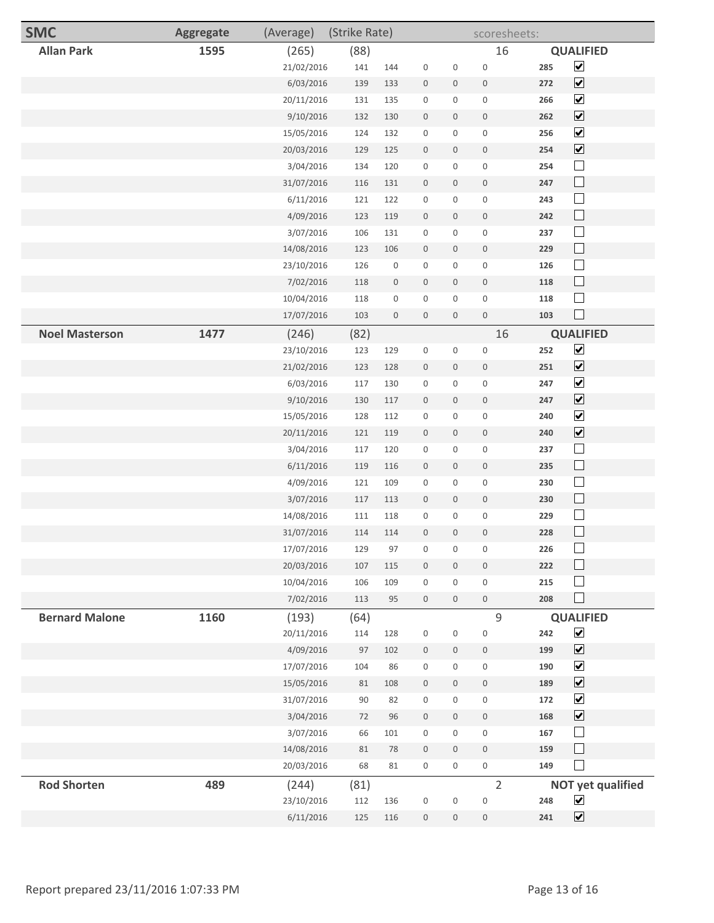| <b>SMC</b>            | <b>Aggregate</b> | (Average)  | (Strike Rate) |                  |                  |                     | scoresheets:     |     |                              |  |
|-----------------------|------------------|------------|---------------|------------------|------------------|---------------------|------------------|-----|------------------------------|--|
| <b>Allan Park</b>     | 1595             | (265)      | (88)          |                  |                  |                     | 16               |     | <b>QUALIFIED</b>             |  |
|                       |                  | 21/02/2016 | 141           | 144              | $\boldsymbol{0}$ | $\boldsymbol{0}$    | $\boldsymbol{0}$ | 285 | $\blacktriangledown$         |  |
|                       |                  | 6/03/2016  | 139           | 133              | $\mathbb O$      | $\mathbf 0$         | $\bf 0$          | 272 | $\blacktriangledown$         |  |
|                       |                  | 20/11/2016 | 131           | 135              | $\boldsymbol{0}$ | 0                   | $\boldsymbol{0}$ | 266 | $\blacktriangledown$         |  |
|                       |                  | 9/10/2016  | 132           | 130              | $\mathbb O$      | 0                   | $\mathbf 0$      | 262 | $\blacktriangledown$         |  |
|                       |                  | 15/05/2016 | 124           | 132              | $\boldsymbol{0}$ | 0                   | $\boldsymbol{0}$ | 256 | $\blacktriangledown$         |  |
|                       |                  | 20/03/2016 | 129           | 125              | $\boldsymbol{0}$ | $\mathbf 0$         | $\mathbf 0$      | 254 | $\overline{\mathbf{v}}$      |  |
|                       |                  | 3/04/2016  | 134           | 120              | $\boldsymbol{0}$ | 0                   | $\boldsymbol{0}$ | 254 | $\Box$                       |  |
|                       |                  | 31/07/2016 | 116           | 131              | $\boldsymbol{0}$ | $\mathbf 0$         | $\mathbf 0$      | 247 | $\Box$                       |  |
|                       |                  | 6/11/2016  | 121           | 122              | $\boldsymbol{0}$ | 0                   | $\boldsymbol{0}$ | 243 | $\Box$                       |  |
|                       |                  | 4/09/2016  | 123           | 119              | $\boldsymbol{0}$ | $\mathsf{O}\xspace$ | $\bf 0$          | 242 | $\Box$                       |  |
|                       |                  | 3/07/2016  | 106           | 131              | $\boldsymbol{0}$ | 0                   | $\boldsymbol{0}$ | 237 | $\Box$                       |  |
|                       |                  | 14/08/2016 | 123           | 106              | $\boldsymbol{0}$ | $\boldsymbol{0}$    | $\mathbf 0$      | 229 | $\Box$                       |  |
|                       |                  | 23/10/2016 | 126           | $\boldsymbol{0}$ | $\boldsymbol{0}$ | 0                   | $\boldsymbol{0}$ | 126 | $\Box$                       |  |
|                       |                  | 7/02/2016  | 118           | 0                | $\boldsymbol{0}$ | 0                   | $\boldsymbol{0}$ | 118 | $\Box$                       |  |
|                       |                  | 10/04/2016 | 118           | 0                | $\boldsymbol{0}$ | $\mathbf 0$         | $\boldsymbol{0}$ | 118 | $\Box$                       |  |
|                       |                  | 17/07/2016 | 103           | $\boldsymbol{0}$ | $\mathbf 0$      | $\mathbf 0$         | $\bf 0$          | 103 | $\sim$                       |  |
| <b>Noel Masterson</b> | 1477             | (246)      | (82)          |                  |                  |                     | 16               |     | <b>QUALIFIED</b>             |  |
|                       |                  | 23/10/2016 | 123           | 129              | $\boldsymbol{0}$ | $\boldsymbol{0}$    | $\boldsymbol{0}$ | 252 | $\blacktriangledown$         |  |
|                       |                  | 21/02/2016 | 123           | 128              | $\boldsymbol{0}$ | $\mathbf 0$         | $\mathbf 0$      | 251 | $\overline{\mathbf{v}}$      |  |
|                       |                  | 6/03/2016  | 117           | 130              | $\boldsymbol{0}$ | 0                   | $\boldsymbol{0}$ | 247 | $\overline{\mathbf{v}}$      |  |
|                       |                  | 9/10/2016  | 130           | $117\,$          | $\boldsymbol{0}$ | 0                   | $\mathbf 0$      | 247 | $\blacktriangledown$         |  |
|                       |                  | 15/05/2016 | 128           | 112              | $\boldsymbol{0}$ | $\boldsymbol{0}$    | $\boldsymbol{0}$ | 240 | $\blacktriangledown$         |  |
|                       |                  | 20/11/2016 | 121           | 119              | $\boldsymbol{0}$ | $\mathsf{O}\xspace$ | $\bf 0$          | 240 | $\overline{\mathbf{v}}$      |  |
|                       |                  | 3/04/2016  | 117           | 120              | $\boldsymbol{0}$ | 0                   | $\boldsymbol{0}$ | 237 | $\Box$                       |  |
|                       |                  | 6/11/2016  | 119           | 116              | $\mathbb O$      | 0                   | $\mathbf 0$      | 235 | $\Box$                       |  |
|                       |                  | 4/09/2016  | 121           | 109              | $\boldsymbol{0}$ | $\boldsymbol{0}$    | $\boldsymbol{0}$ | 230 | $\Box$                       |  |
|                       |                  | 3/07/2016  | 117           | 113              | $\mathbf 0$      | $\mathbf 0$         | $\mathbf 0$      | 230 | $\Box$                       |  |
|                       |                  | 14/08/2016 | $111\,$       | 118              | $\boldsymbol{0}$ | 0                   | $\boldsymbol{0}$ | 229 | $\Box$                       |  |
|                       |                  | 31/07/2016 | 114           | 114              | $\boldsymbol{0}$ | 0                   | $\boldsymbol{0}$ | 228 | $\overline{\phantom{a}}$     |  |
|                       |                  | 17/07/2016 | 129           | 97               | 0                | 0                   | 0                | 226 | $\Box$                       |  |
|                       |                  | 20/03/2016 | 107           | 115              | $\boldsymbol{0}$ | $\mathsf{O}\xspace$ | $\mathbb O$      | 222 | $\Box$                       |  |
|                       |                  | 10/04/2016 | 106           | 109              | $\boldsymbol{0}$ | 0                   | $\boldsymbol{0}$ | 215 | $\overline{\phantom{a}}$     |  |
|                       |                  | 7/02/2016  | 113           | 95               | $\boldsymbol{0}$ | $\boldsymbol{0}$    | $\mathbf 0$      | 208 | $\mathbf{I}$                 |  |
| <b>Bernard Malone</b> | 1160             | (193)      | (64)          |                  |                  |                     | $\mathsf 9$      |     | <b>QUALIFIED</b>             |  |
|                       |                  | 20/11/2016 | 114           | 128              | $\boldsymbol{0}$ | $\boldsymbol{0}$    | $\boldsymbol{0}$ | 242 | $\blacktriangledown$         |  |
|                       |                  | 4/09/2016  | 97            | 102              | $\boldsymbol{0}$ | $\mathbf 0$         | $\bf 0$          | 199 | $\blacktriangledown$         |  |
|                       |                  | 17/07/2016 | 104           | 86               | $\boldsymbol{0}$ | 0                   | $\mathbf 0$      | 190 | $\blacktriangledown$         |  |
|                       |                  | 15/05/2016 | $81\,$        | 108              | $\boldsymbol{0}$ | 0                   | $\bf 0$          | 189 | $\boxed{\blacktriangledown}$ |  |
|                       |                  | 31/07/2016 | 90            | 82               | $\boldsymbol{0}$ | $\boldsymbol{0}$    | $\boldsymbol{0}$ | 172 | $\blacktriangledown$         |  |
|                       |                  | 3/04/2016  | 72            | 96               | $\boldsymbol{0}$ | $\mathsf{O}\xspace$ | $\mathbf 0$      | 168 | $\blacktriangledown$         |  |
|                       |                  | 3/07/2016  | 66            | 101              | $\boldsymbol{0}$ | 0                   | $\boldsymbol{0}$ | 167 | $\mathcal{L}_{\mathcal{A}}$  |  |
|                       |                  | 14/08/2016 | 81            | 78               | $\mathbb O$      | $\mathsf{O}\xspace$ | $\mathbf 0$      | 159 | $\Box$                       |  |
|                       |                  | 20/03/2016 | 68            | 81               | $\boldsymbol{0}$ | $\mathbf 0$         | $\,0\,$          | 149 |                              |  |
| <b>Rod Shorten</b>    | 489              | (244)      | (81)          |                  |                  |                     | $\overline{2}$   |     | <b>NOT yet qualified</b>     |  |
|                       |                  | 23/10/2016 | 112           | 136              | $\boldsymbol{0}$ | $\boldsymbol{0}$    | $\boldsymbol{0}$ | 248 | $\blacktriangledown$         |  |
|                       |                  | 6/11/2016  | 125           | 116              | $\mathbb O$      | $\boldsymbol{0}$    | $\mathbf 0$      | 241 | $\blacktriangledown$         |  |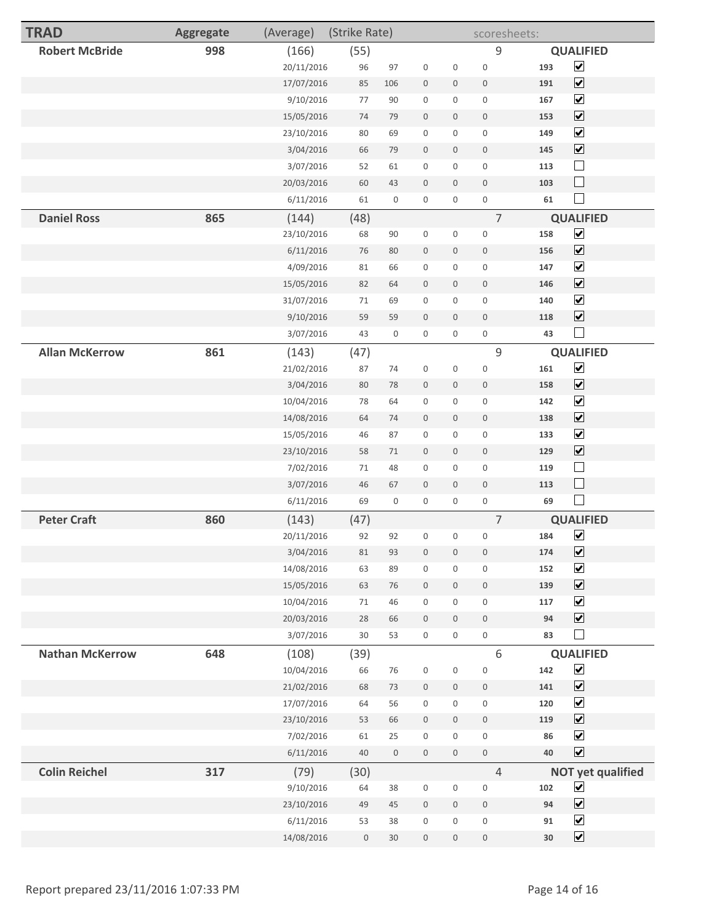| <b>TRAD</b>            | <b>Aggregate</b> | (Average)               | (Strike Rate) |                  |                             |                          | scoresheets:                    |            |                                              |
|------------------------|------------------|-------------------------|---------------|------------------|-----------------------------|--------------------------|---------------------------------|------------|----------------------------------------------|
| <b>Robert McBride</b>  | 998              | (166)                   | (55)          |                  |                             |                          | 9                               |            | <b>QUALIFIED</b>                             |
|                        |                  | 20/11/2016              | 96            | 97               | $\boldsymbol{0}$            | $\boldsymbol{0}$         | $\mathbf 0$                     | 193        | $\blacktriangledown$                         |
|                        |                  | 17/07/2016              | 85            | 106              | $\mathbf 0$                 | $\mathbf 0$              | $\mathbf 0$                     | 191        | $\blacktriangledown$                         |
|                        |                  | 9/10/2016               | 77            | 90               | $\boldsymbol{0}$            | 0                        | $\boldsymbol{0}$                | 167        | $\blacktriangledown$                         |
|                        |                  | 15/05/2016              | 74            | 79               | $\boldsymbol{0}$            | $\mathbf 0$              | $\mathbb O$                     | 153        | $\blacktriangledown$                         |
|                        |                  | 23/10/2016              | 80            | 69               | $\boldsymbol{0}$            | 0                        | $\boldsymbol{0}$                | 149        | $\blacktriangledown$                         |
|                        |                  | 3/04/2016               | 66            | 79               | $\bf 0$                     | 0                        | $\mathbf 0$                     | 145        | $\blacktriangledown$                         |
|                        |                  | 3/07/2016               | 52            | 61               | $\boldsymbol{0}$            | $\mathbf 0$              | $\mathsf{O}\xspace$             | 113        | $\Box$                                       |
|                        |                  | 20/03/2016              | 60            | 43               | $\bf 0$                     | $\mathbf 0$              | $\boldsymbol{0}$                | 103        | $\Box$                                       |
|                        |                  | 6/11/2016               | 61            | $\boldsymbol{0}$ | $\boldsymbol{0}$            | $\boldsymbol{0}$         | $\mathbf 0$                     | 61         | $\Box$                                       |
| <b>Daniel Ross</b>     | 865              | (144)                   | (48)          |                  |                             |                          | $\overline{7}$                  |            | <b>QUALIFIED</b>                             |
|                        |                  | 23/10/2016              | 68            | 90               | $\boldsymbol{0}$            | $\boldsymbol{0}$         | $\boldsymbol{0}$                | 158        | $\blacktriangledown$                         |
|                        |                  | 6/11/2016               | 76            | 80               | $\boldsymbol{0}$            | $\mathbf 0$              | $\mathbf 0$                     | 156        | $\blacktriangledown$                         |
|                        |                  | 4/09/2016               | 81            | 66               | $\boldsymbol{0}$            | 0                        | $\boldsymbol{0}$                | 147        | $\blacktriangledown$                         |
|                        |                  | 15/05/2016              | 82            | 64               | $\bf 0$                     | $\mathbf 0$              | $\mathbf 0$                     | 146        | $\blacktriangledown$                         |
|                        |                  | 31/07/2016              | 71            | 69               | $\boldsymbol{0}$            | $\mathsf{O}\xspace$      | $\mathbf 0$                     | 140        | $\blacktriangledown$                         |
|                        |                  | 9/10/2016               | 59            | 59               | $\bf 0$                     | $\mathsf{O}\xspace$      | $\boldsymbol{0}$                | 118        | $\blacktriangledown$                         |
|                        |                  | 3/07/2016               | 43            | $\boldsymbol{0}$ | $\mathbf 0$                 | 0                        | $\mathsf{O}$                    | 43         | ×                                            |
| <b>Allan McKerrow</b>  | 861              | (143)                   | (47)          |                  |                             |                          | $\mathsf 9$                     |            | <b>QUALIFIED</b>                             |
|                        |                  | 21/02/2016              | 87            | 74               | $\boldsymbol{0}$            | 0                        | $\mathbf 0$                     | 161        | $\blacktriangledown$                         |
|                        |                  | 3/04/2016               | 80            | 78               | $\mathbf 0$                 | 0                        | $\mathbf 0$                     | 158        | $\blacktriangledown$                         |
|                        |                  | 10/04/2016              | 78            | 64               | $\mathbf 0$                 | $\mathbf 0$              | $\boldsymbol{0}$                | 142        | $\blacktriangledown$                         |
|                        |                  | 14/08/2016              | 64            | 74               | $\boldsymbol{0}$            | $\mathbf 0$              | $\mathbb O$                     | 138        | $\blacktriangledown$<br>$\blacktriangledown$ |
|                        |                  | 15/05/2016              | 46            | 87               | $\boldsymbol{0}$            | $\mathbf 0$              | $\mathbf 0$                     | 133        | $\blacktriangledown$                         |
|                        |                  | 23/10/2016<br>7/02/2016 | 58<br>71      | 71<br>48         | $\bf 0$<br>$\boldsymbol{0}$ | $\mathsf{O}\xspace$<br>0 | $\mathbb O$<br>$\boldsymbol{0}$ | 129<br>119 |                                              |
|                        |                  | 3/07/2016               | 46            | 67               | $\mathbf 0$                 | $\mathbf 0$              | $\boldsymbol{0}$                | 113        | $\Box$                                       |
|                        |                  | 6/11/2016               | 69            | $\boldsymbol{0}$ | $\mathbf 0$                 | $\mathbf 0$              | $\boldsymbol{0}$                | 69         | $\mathcal{L}$                                |
| <b>Peter Craft</b>     | 860              |                         |               |                  |                             |                          | $\overline{7}$                  |            | <b>QUALIFIED</b>                             |
|                        |                  | (143)<br>20/11/2016     | (47)<br>92    | 92               | $\boldsymbol{0}$            | 0                        | $\boldsymbol{0}$                | 184        | $\blacktriangledown$                         |
|                        |                  | 3/04/2016               | 81            | 93               | $\bf 0$                     | 0                        | $\bf 0$                         | 174        | $\overline{\mathbf{v}}$                      |
|                        |                  | 14/08/2016              | 63            | 89               | $\boldsymbol{0}$            | 0                        | $\mathbf 0$                     | 152        | $\blacktriangledown$                         |
|                        |                  | 15/05/2016              | 63            | 76               | $\mathbb O$                 | $\mathbf 0$              | $\mathbb O$                     | 139        | $\overline{\mathbf{v}}$                      |
|                        |                  | 10/04/2016              | 71            | 46               | $\boldsymbol{0}$            | $\mathsf{O}\xspace$      | $\mathbb O$                     | 117        | $\blacktriangledown$                         |
|                        |                  | 20/03/2016              | 28            | 66               | $\bf 0$                     | $\mathsf{O}\xspace$      | $\boldsymbol{0}$                | 94         | $\overline{\mathbf{v}}$                      |
|                        |                  | 3/07/2016               | 30            | 53               | $\boldsymbol{0}$            | $\mathsf{O}\xspace$      | $\mathsf{O}$                    | 83         | $\Box$                                       |
| <b>Nathan McKerrow</b> | 648              | (108)                   | (39)          |                  |                             |                          | 6                               |            | <b>QUALIFIED</b>                             |
|                        |                  | 10/04/2016              | 66            | 76               | $\,0\,$                     | $\boldsymbol{0}$         | $\boldsymbol{0}$                | 142        | $\blacktriangledown$                         |
|                        |                  | 21/02/2016              | 68            | 73               | $\boldsymbol{0}$            | $\mathbf 0$              | $\boldsymbol{0}$                | 141        | $\blacktriangledown$                         |
|                        |                  | 17/07/2016              | 64            | 56               | $\boldsymbol{0}$            | $\mathbf 0$              | $\boldsymbol{0}$                | 120        | $\blacktriangledown$                         |
|                        |                  | 23/10/2016              | 53            | 66               | $\mathbb O$                 | $\mathbf 0$              | $\mathbb O$                     | 119        | $\blacktriangledown$                         |
|                        |                  | 7/02/2016               | 61            | 25               | $\boldsymbol{0}$            | 0                        | $\mathsf{O}\xspace$             | 86         | $\blacktriangledown$                         |
|                        |                  | 6/11/2016               | 40            | $\,0\,$          | $\boldsymbol{0}$            | $\mathbf 0$              | $\mathbb O$                     | 40         | $\blacktriangleright$                        |
| <b>Colin Reichel</b>   | 317              | (79)                    | (30)          |                  |                             |                          | $\overline{4}$                  |            | <b>NOT yet qualified</b>                     |
|                        |                  | 9/10/2016               | 64            | 38               | $\boldsymbol{0}$            | $\mathsf{O}\xspace$      | $\,0\,$                         | 102        | $\blacktriangledown$                         |
|                        |                  | 23/10/2016              | 49            | 45               | $\mathbf 0$                 | $\mathsf{O}\xspace$      | $\mathbb O$                     | 94         | $\blacktriangledown$                         |
|                        |                  | 6/11/2016               | 53            | 38               | $\boldsymbol{0}$            | $\mathbf 0$              | $\mathsf{O}\xspace$             | 91         | $\blacktriangledown$                         |
|                        |                  | 14/08/2016              | $\mathbb O$   | $30\,$           | $\,0\,$                     | $\boldsymbol{0}$         | $\boldsymbol{0}$                | $30\,$     | $\blacktriangledown$                         |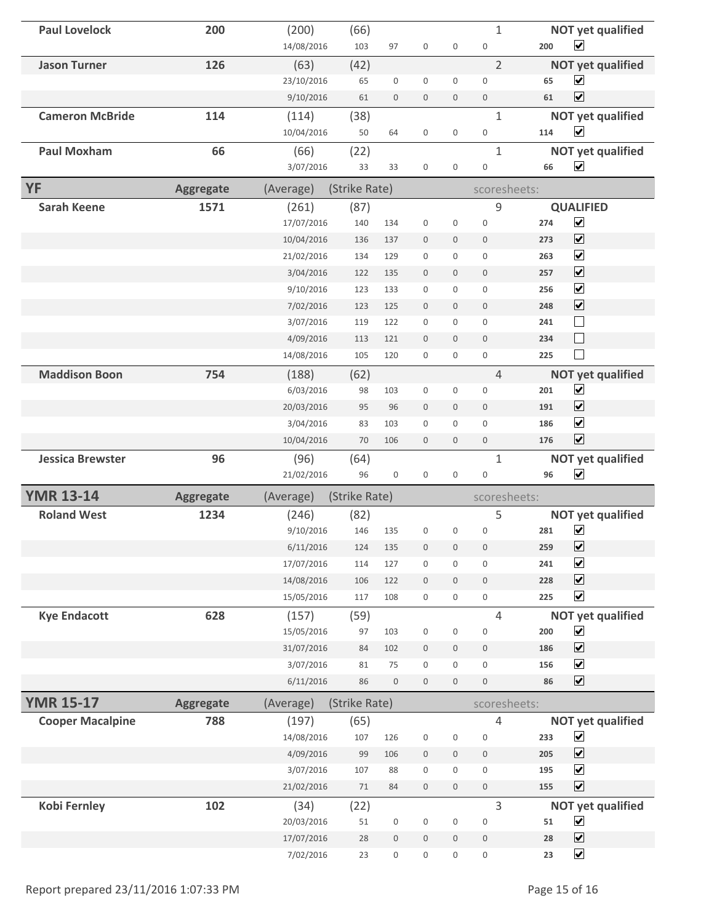| <b>Paul Lovelock</b>    | 200              | (200)               | (66)          |                  |                  |                     | $\mathbf{1}$          |     | <b>NOT yet qualified</b>                         |
|-------------------------|------------------|---------------------|---------------|------------------|------------------|---------------------|-----------------------|-----|--------------------------------------------------|
|                         |                  | 14/08/2016          | 103           | 97               | $\boldsymbol{0}$ | $\mathbf 0$         | $\boldsymbol{0}$      | 200 | $\blacktriangledown$                             |
| <b>Jason Turner</b>     | 126              | (63)                | (42)          |                  |                  |                     | $\overline{2}$        |     | <b>NOT yet qualified</b>                         |
|                         |                  | 23/10/2016          | 65            | $\boldsymbol{0}$ | $\mathbf 0$      | $\mathsf{O}\xspace$ | $\mathbf 0$           | 65  | $\blacktriangledown$                             |
|                         |                  | 9/10/2016           | 61            | $\boldsymbol{0}$ | $\boldsymbol{0}$ | $\mathbf 0$         | $\boldsymbol{0}$      | 61  | $\blacktriangledown$                             |
| <b>Cameron McBride</b>  | 114              | (114)               | (38)          |                  |                  |                     | $\mathbf{1}$          |     | <b>NOT yet qualified</b>                         |
|                         |                  | 10/04/2016          | 50            | 64               | $\boldsymbol{0}$ | $\mathbf 0$         | 0                     | 114 | $\overline{\mathbf{v}}$                          |
| <b>Paul Moxham</b>      | 66               | (66)                | (22)          |                  |                  |                     | $\mathbf{1}$          |     | <b>NOT yet qualified</b>                         |
|                         |                  | 3/07/2016           | 33            | 33               | $\boldsymbol{0}$ | $\boldsymbol{0}$    | $\boldsymbol{0}$      | 66  | $\overline{\mathbf{v}}$                          |
| <b>YF</b>               | <b>Aggregate</b> | (Average)           | (Strike Rate) |                  |                  |                     | scoresheets:          |     |                                                  |
| <b>Sarah Keene</b>      | 1571             | (261)               | (87)          |                  |                  |                     | 9                     |     | <b>QUALIFIED</b>                                 |
|                         |                  | 17/07/2016          | 140           | 134              | $\boldsymbol{0}$ | $\mathsf{O}\xspace$ | $\boldsymbol{0}$      | 274 | $\overline{\mathbf{v}}$                          |
|                         |                  | 10/04/2016          | 136           | 137              | $\boldsymbol{0}$ | $\mathbf 0$         | $\boldsymbol{0}$      | 273 | $\blacktriangledown$                             |
|                         |                  | 21/02/2016          | 134           | 129              | $\boldsymbol{0}$ | 0                   | $\mathbf 0$           | 263 | $\blacktriangledown$                             |
|                         |                  | 3/04/2016           | 122           | 135              | $\mathbf 0$      | $\mathbf 0$         | $\mathbf 0$           | 257 | $\overline{\mathbf{v}}$                          |
|                         |                  | 9/10/2016           | 123           | 133              | $\boldsymbol{0}$ | 0                   | 0                     | 256 | $\blacktriangledown$                             |
|                         |                  | 7/02/2016           | 123           | 125              | $\mathbf 0$      | $\mathbf 0$         | $\mathbf 0$           | 248 | $\blacktriangledown$                             |
|                         |                  | 3/07/2016           | 119           | 122              | $\boldsymbol{0}$ | $\mathbf{0}$        | $\mathbf 0$           | 241 | $\Box$                                           |
|                         |                  | 4/09/2016           | 113           | 121              | $\boldsymbol{0}$ | $\mathbf 0$         | $\mathbf{0}$          | 234 | $\Box$                                           |
|                         |                  | 14/08/2016          | 105           | 120              | $\boldsymbol{0}$ | $\mathbf 0$         | 0                     | 225 | $\Box$                                           |
| <b>Maddison Boon</b>    | 754              | (188)               | (62)          |                  |                  |                     | $\overline{4}$        |     | <b>NOT yet qualified</b>                         |
|                         |                  | 6/03/2016           | 98            | 103              | $\boldsymbol{0}$ | $\mathbf 0$         | $\mathsf 0$           | 201 | $\overline{\mathbf{v}}$                          |
|                         |                  | 20/03/2016          | 95            | 96               | $\boldsymbol{0}$ | $\mathbf 0$         | $\mathbf{0}$          | 191 | $\blacktriangledown$                             |
|                         |                  | 3/04/2016           | 83            | 103              | $\boldsymbol{0}$ | $\mathsf 0$         | $\overline{0}$        | 186 | $\blacktriangledown$                             |
|                         |                  |                     |               |                  |                  |                     | $\boldsymbol{0}$      | 176 | $\overline{\mathbf{v}}$                          |
|                         |                  | 10/04/2016          | 70            | 106              | $\boldsymbol{0}$ | $\mathsf{O}\xspace$ |                       |     |                                                  |
|                         | 96               |                     |               |                  |                  |                     | $\mathbf{1}$          |     |                                                  |
| <b>Jessica Brewster</b> |                  | (96)<br>21/02/2016  | (64)<br>96    | $\boldsymbol{0}$ | $\boldsymbol{0}$ | $\mathbf 0$         | $\boldsymbol{0}$      | 96  | <b>NOT yet qualified</b><br>$\blacktriangledown$ |
|                         |                  |                     |               |                  |                  |                     |                       |     |                                                  |
| <b>YMR 13-14</b>        | <b>Aggregate</b> | (Average)           | (Strike Rate) |                  |                  |                     | scoresheets:          |     |                                                  |
| <b>Roland West</b>      | 1234             | (246)<br>9/10/2016  | (82)<br>146   | 135              | $\boldsymbol{0}$ | $\boldsymbol{0}$    | 5<br>$\boldsymbol{0}$ | 281 | <b>NOT yet qualified</b><br>$\blacktriangledown$ |
|                         |                  | 6/11/2016           | 124           | 135              | $\boldsymbol{0}$ | $\boldsymbol{0}$    | $\boldsymbol{0}$      | 259 | $\overline{\mathbf{v}}$                          |
|                         |                  | 17/07/2016          | 114           | 127              | $\boldsymbol{0}$ | 0                   | $\boldsymbol{0}$      | 241 | $\overline{\mathbf{v}}$                          |
|                         |                  | 14/08/2016          | 106           | 122              | $\boldsymbol{0}$ | $\mathbf 0$         | $\boldsymbol{0}$      | 228 | $\overline{\mathbf{v}}$                          |
|                         |                  | 15/05/2016          | 117           | 108              | $\boldsymbol{0}$ | 0                   | 0                     | 225 | $\blacktriangledown$                             |
|                         | 628              |                     |               |                  |                  |                     | $\overline{4}$        |     | <b>NOT yet qualified</b>                         |
| <b>Kye Endacott</b>     |                  | (157)<br>15/05/2016 | (59)<br>97    | 103              | $\boldsymbol{0}$ | $\mathbf 0$         | $\boldsymbol{0}$      | 200 | $\blacktriangledown$                             |
|                         |                  | 31/07/2016          | 84            | 102              | $\boldsymbol{0}$ | $\mathbf 0$         | $\boldsymbol{0}$      | 186 | $\blacktriangledown$                             |
|                         |                  | 3/07/2016           | 81            | 75               | $\boldsymbol{0}$ | $\mathbf{0}$        | $\mathbf{0}$          | 156 | $\blacktriangledown$                             |
|                         |                  | 6/11/2016           | 86            | $\boldsymbol{0}$ | $\boldsymbol{0}$ | $\mathbf 0$         | $\boldsymbol{0}$      | 86  | $\overline{\mathbf{v}}$                          |
| <b>YMR 15-17</b>        | <b>Aggregate</b> | (Average)           | (Strike Rate) |                  |                  |                     | scoresheets:          |     |                                                  |
|                         | 788              |                     |               |                  |                  |                     | 4                     |     |                                                  |
| <b>Cooper Macalpine</b> |                  | (197)<br>14/08/2016 | (65)<br>107   | 126              | $\boldsymbol{0}$ | $\boldsymbol{0}$    | $\boldsymbol{0}$      | 233 | <b>NOT yet qualified</b><br>$\blacktriangledown$ |
|                         |                  | 4/09/2016           | 99            | 106              | $\boldsymbol{0}$ | $\mathbf 0$         | 0                     | 205 | $\overline{\mathbf{v}}$                          |
|                         |                  | 3/07/2016           | 107           | 88               | $\boldsymbol{0}$ | $\mathbf 0$         | 0                     | 195 | $\overline{\mathbf{v}}$                          |
|                         |                  | 21/02/2016          | 71            | 84               | $\boldsymbol{0}$ | $\mathbf 0$         | $\mathbf 0$           | 155 | $\blacktriangledown$                             |
| <b>Kobi Fernley</b>     | 102              | (34)                | (22)          |                  |                  |                     | 3                     |     | <b>NOT yet qualified</b>                         |
|                         |                  | 20/03/2016          | 51            | $\boldsymbol{0}$ | $\boldsymbol{0}$ | $\boldsymbol{0}$    | $\boldsymbol{0}$      | 51  | $\blacktriangledown$                             |
|                         |                  | 17/07/2016          | 28            | $\boldsymbol{0}$ | $\boldsymbol{0}$ | $\mathsf{O}\xspace$ | 0                     | 28  | $\blacktriangledown$                             |